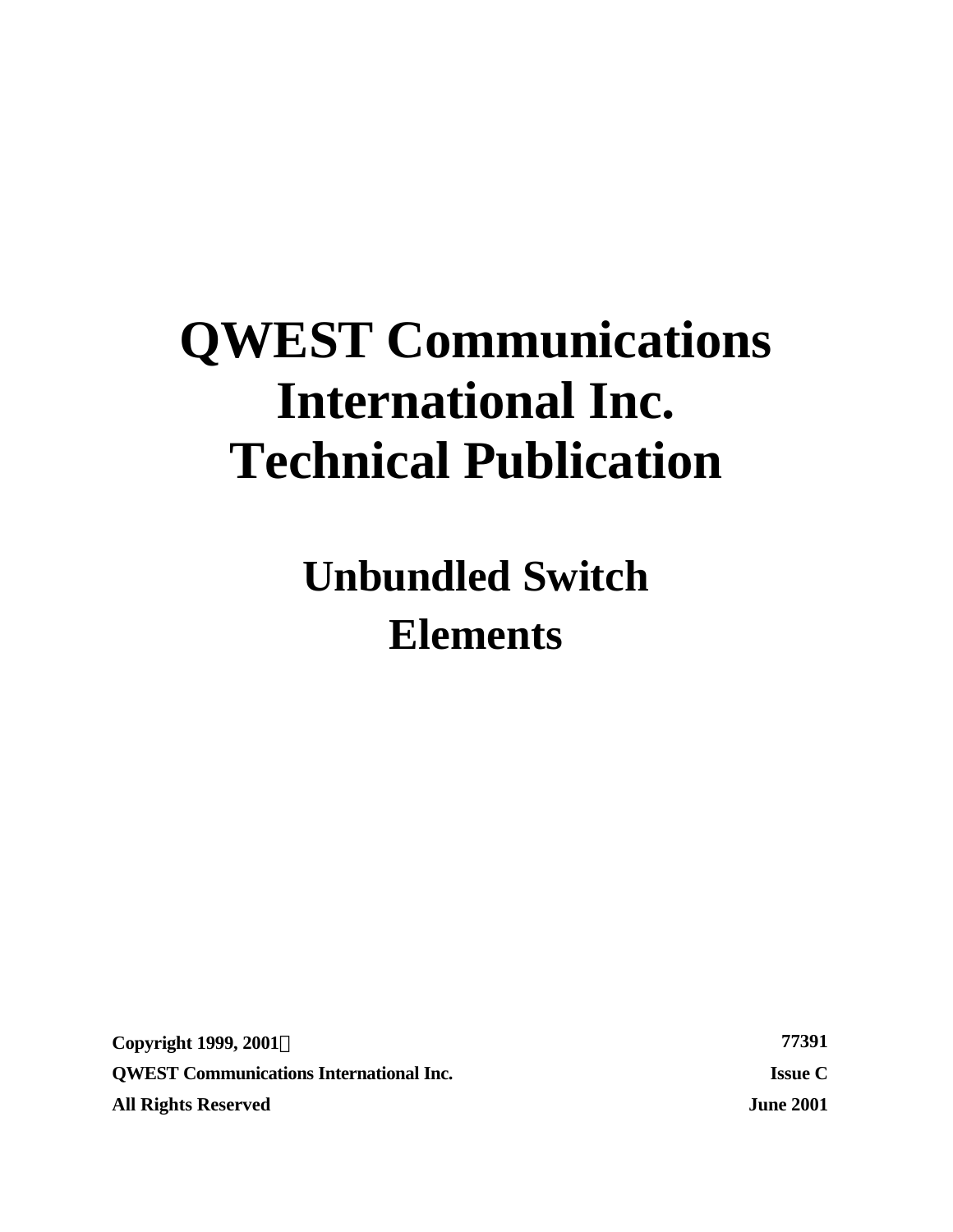# **QWEST Communications International Inc. Technical Publication**

**Unbundled Switch Elements**

**Copyright 1999, 2001Ó 77391 QWEST Communications International Inc. Issue C All Rights Reserved June 2001**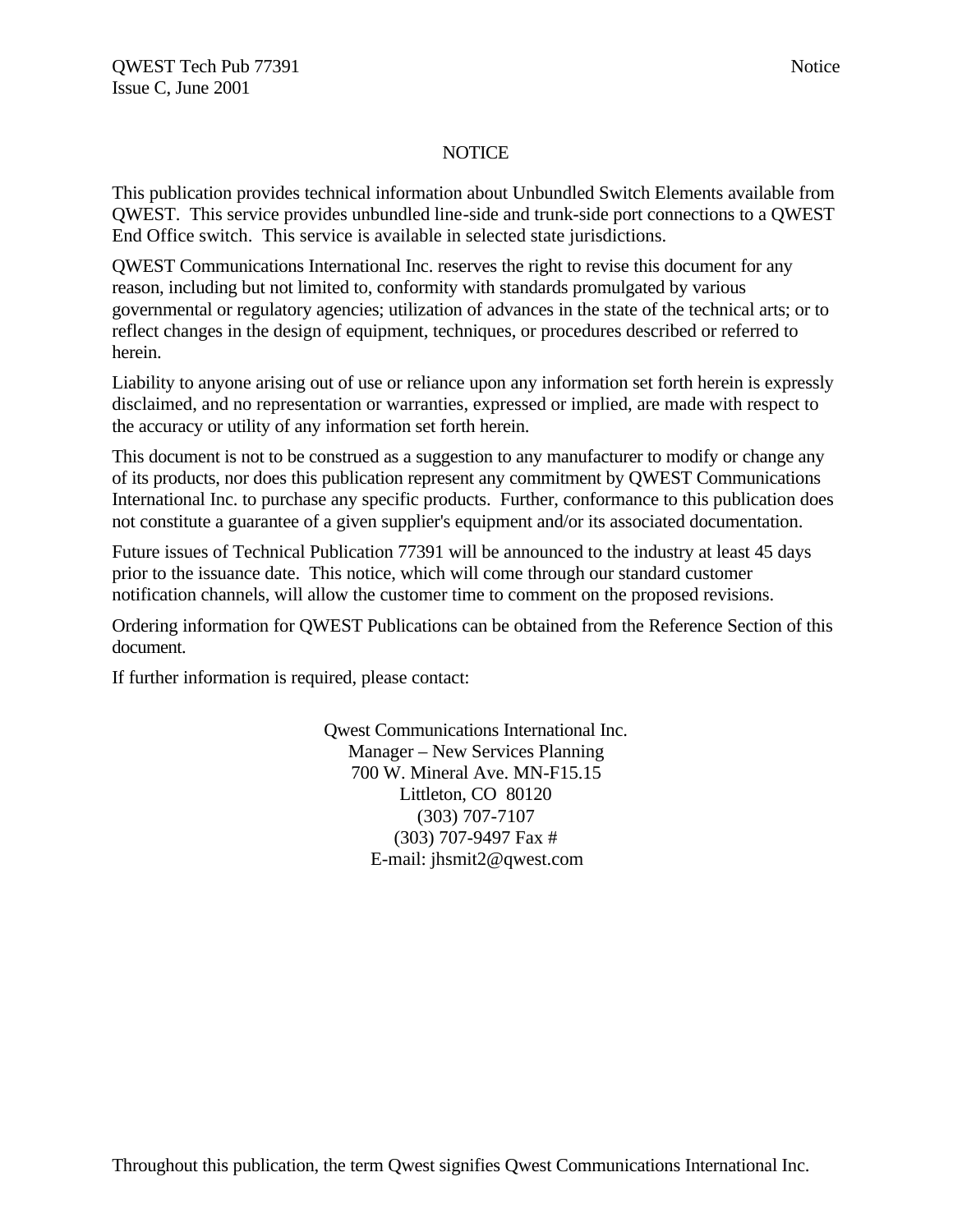## **NOTICE**

This publication provides technical information about Unbundled Switch Elements available from QWEST. This service provides unbundled line-side and trunk-side port connections to a QWEST End Office switch. This service is available in selected state jurisdictions.

QWEST Communications International Inc. reserves the right to revise this document for any reason, including but not limited to, conformity with standards promulgated by various governmental or regulatory agencies; utilization of advances in the state of the technical arts; or to reflect changes in the design of equipment, techniques, or procedures described or referred to herein.

Liability to anyone arising out of use or reliance upon any information set forth herein is expressly disclaimed, and no representation or warranties, expressed or implied, are made with respect to the accuracy or utility of any information set forth herein.

This document is not to be construed as a suggestion to any manufacturer to modify or change any of its products, nor does this publication represent any commitment by QWEST Communications International Inc. to purchase any specific products. Further, conformance to this publication does not constitute a guarantee of a given supplier's equipment and/or its associated documentation.

Future issues of Technical Publication 77391 will be announced to the industry at least 45 days prior to the issuance date. This notice, which will come through our standard customer notification channels, will allow the customer time to comment on the proposed revisions.

Ordering information for QWEST Publications can be obtained from the Reference Section of this document.

If further information is required, please contact:

Qwest Communications International Inc. Manager – New Services Planning 700 W. Mineral Ave. MN-F15.15 Littleton, CO 80120 (303) 707-7107 (303) 707-9497 Fax # E-mail: jhsmit2@qwest.com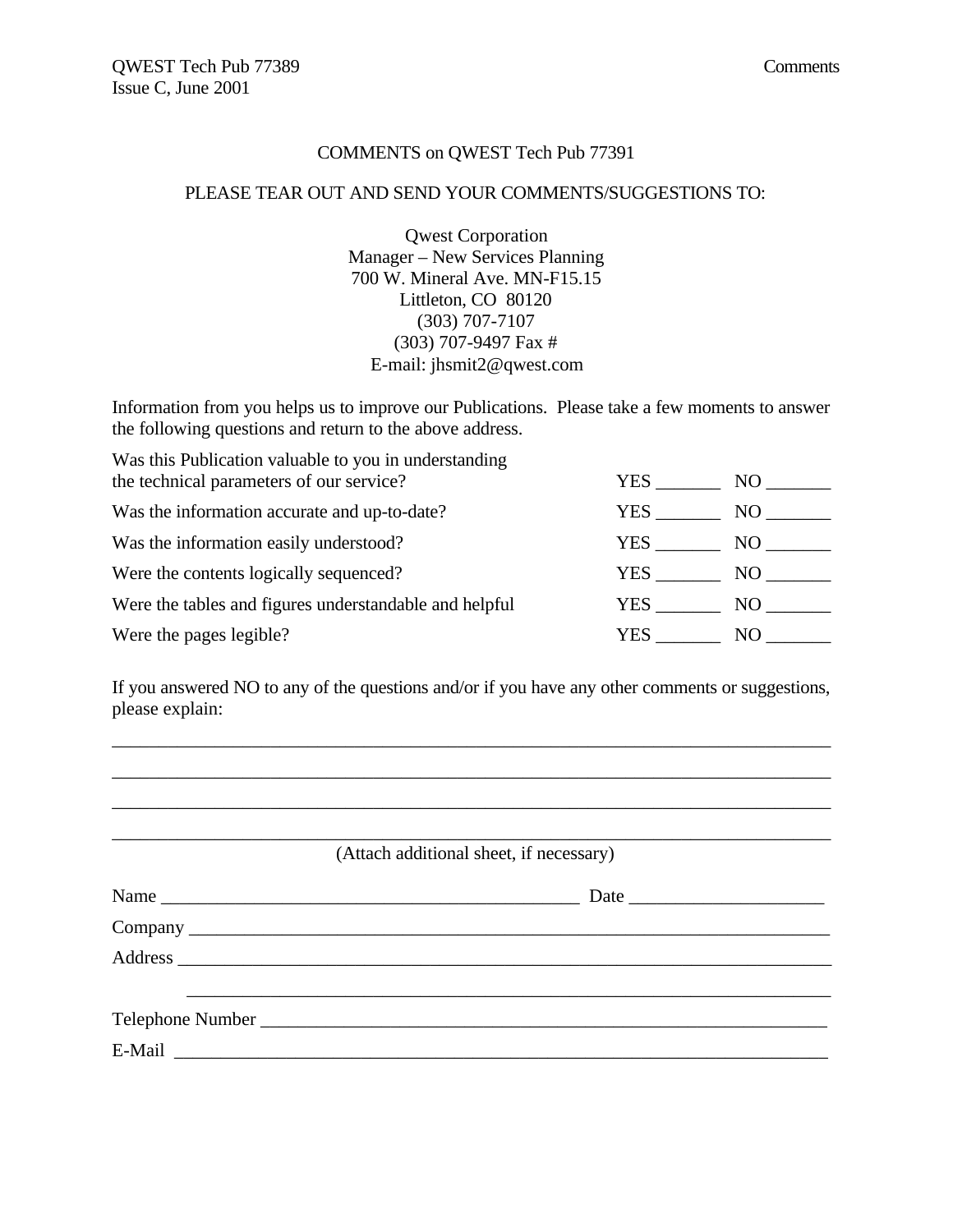#### COMMENTS on QWEST Tech Pub 77391

#### PLEASE TEAR OUT AND SEND YOUR COMMENTS/SUGGESTIONS TO:

Qwest Corporation Manager – New Services Planning 700 W. Mineral Ave. MN-F15.15 Littleton, CO 80120 (303) 707-7107 (303) 707-9497 Fax # E-mail: jhsmit2@qwest.com

Information from you helps us to improve our Publications. Please take a few moments to answer the following questions and return to the above address.

Was this Publication valuable to you in understanding

| the technical parameters of our service?               | <b>YES</b> | NO <sub>1</sub> |
|--------------------------------------------------------|------------|-----------------|
| Was the information accurate and up-to-date?           | YES.       | NO.             |
| Was the information easily understood?                 | YES.       | NO -            |
| Were the contents logically sequenced?                 | YES        | NO -            |
| Were the tables and figures understandable and helpful | YES        | NO 1            |
| Were the pages legible?                                | YES        | NO.             |

If you answered NO to any of the questions and/or if you have any other comments or suggestions, please explain:

\_\_\_\_\_\_\_\_\_\_\_\_\_\_\_\_\_\_\_\_\_\_\_\_\_\_\_\_\_\_\_\_\_\_\_\_\_\_\_\_\_\_\_\_\_\_\_\_\_\_\_\_\_\_\_\_\_\_\_\_\_\_\_\_\_\_\_\_\_\_\_\_\_\_\_\_\_ \_\_\_\_\_\_\_\_\_\_\_\_\_\_\_\_\_\_\_\_\_\_\_\_\_\_\_\_\_\_\_\_\_\_\_\_\_\_\_\_\_\_\_\_\_\_\_\_\_\_\_\_\_\_\_\_\_\_\_\_\_\_\_\_\_\_\_\_\_\_\_\_\_\_\_\_\_

| (Attach additional sheet, if necessary) |  |  |
|-----------------------------------------|--|--|
|                                         |  |  |
|                                         |  |  |
|                                         |  |  |
|                                         |  |  |
|                                         |  |  |
|                                         |  |  |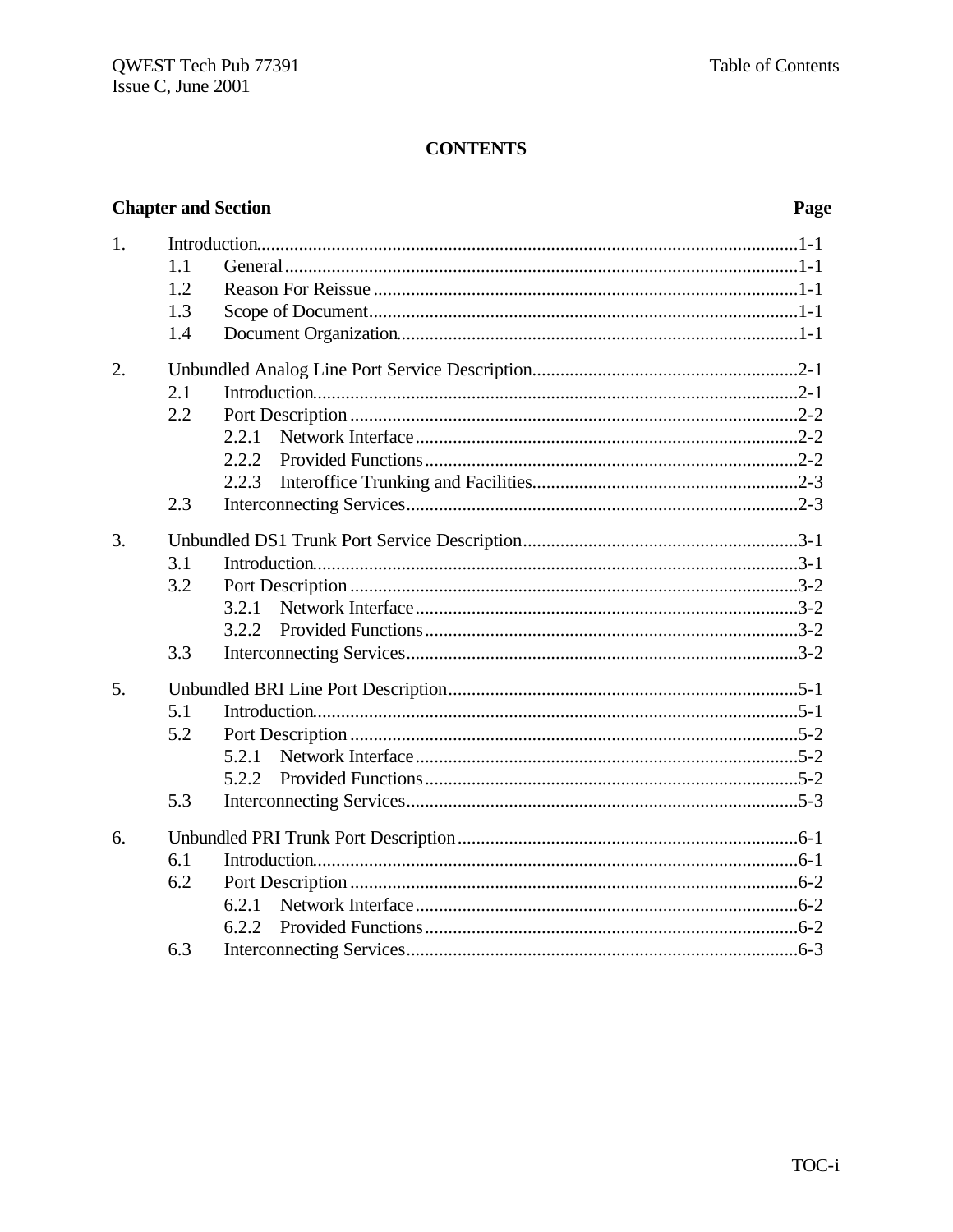## **Chapter and Section**

## Page

| 1. | 1.1<br>1.2<br>1.3<br>1.4 |                         |
|----|--------------------------|-------------------------|
| 2. | 2.1<br>2.2               | 2.2.1<br>2.2.2<br>2.2.3 |
|    | 2.3                      |                         |
| 3. | 3.1<br>3.2               | 3.2.1                   |
|    | 3.3                      |                         |
| 5. | 5.1<br>5.2               | 5.2.1<br>5.2.2          |
|    | 5.3                      |                         |
| 6. | 6.1<br>6.2               | 6.2.1<br>6.2.2          |
|    | 6.3                      |                         |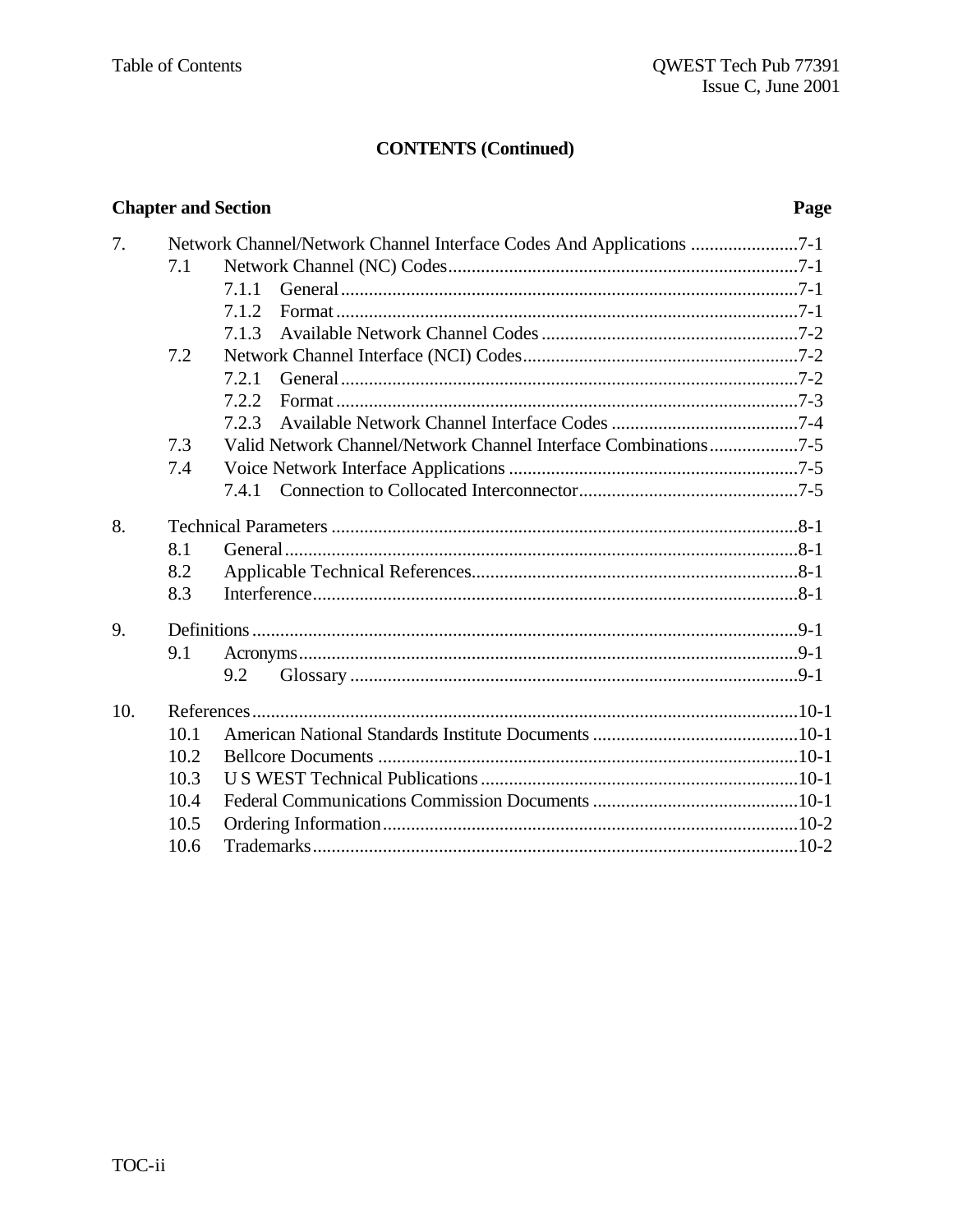## **CONTENTS (Continued)**

| <b>Chapter and Section</b> |      | Page                                                                 |  |
|----------------------------|------|----------------------------------------------------------------------|--|
| 7.                         |      | Network Channel/Network Channel Interface Codes And Applications 7-1 |  |
|                            | 7.1  |                                                                      |  |
|                            |      | 7.1.1                                                                |  |
|                            |      | 7.1.2                                                                |  |
|                            |      | 7.1.3                                                                |  |
|                            | 7.2  |                                                                      |  |
|                            |      | 7.2.1                                                                |  |
|                            |      | 7.2.2                                                                |  |
|                            |      | 7.2.3                                                                |  |
|                            | 7.3  | Valid Network Channel/Network Channel Interface Combinations7-5      |  |
|                            | 7.4  |                                                                      |  |
|                            |      |                                                                      |  |
| 8.                         |      |                                                                      |  |
|                            | 8.1  |                                                                      |  |
|                            | 8.2  |                                                                      |  |
|                            | 8.3  |                                                                      |  |
| 9.                         |      |                                                                      |  |
|                            | 9.1  |                                                                      |  |
|                            |      | 9.2                                                                  |  |
| 10.                        |      |                                                                      |  |
|                            | 10.1 |                                                                      |  |
|                            | 10.2 |                                                                      |  |
|                            | 10.3 |                                                                      |  |
|                            | 10.4 |                                                                      |  |
|                            | 10.5 |                                                                      |  |
|                            | 10.6 |                                                                      |  |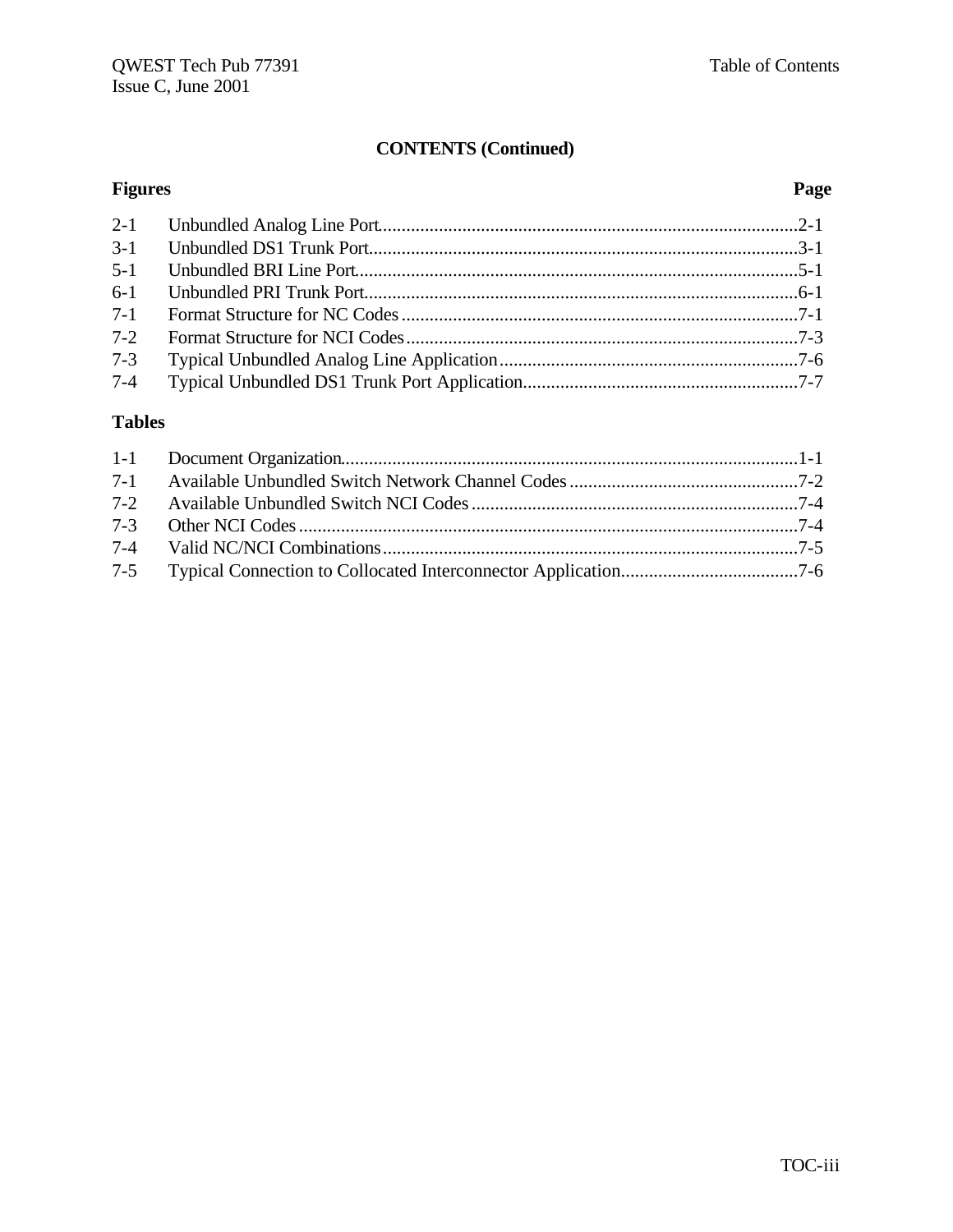## **CONTENTS (Continued)**

## **Figures Page**

| $3-1$   |  |
|---------|--|
|         |  |
|         |  |
| $7-1$   |  |
| $7 - 2$ |  |
| $7 - 3$ |  |
| $7 - 4$ |  |

## **Tables**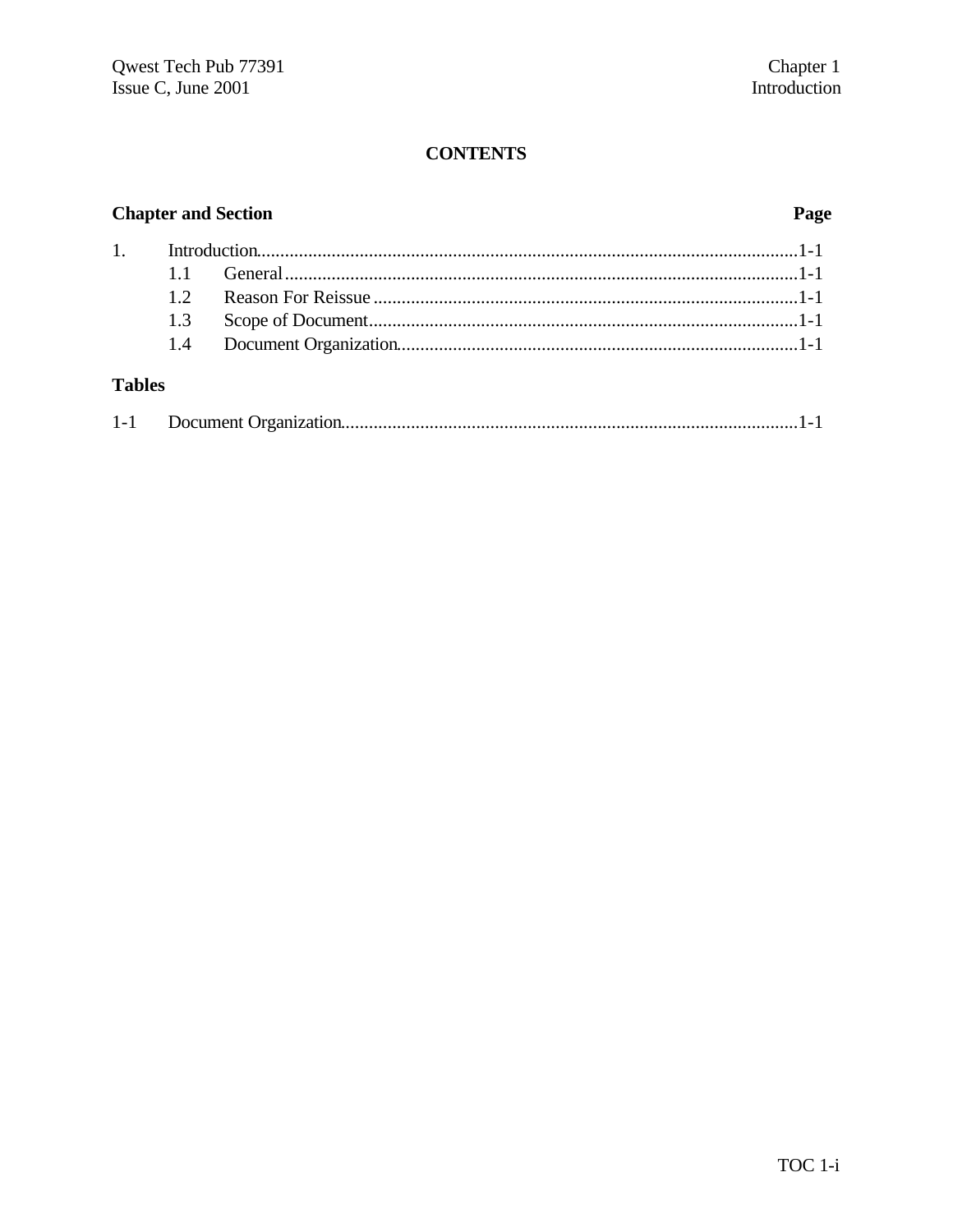## **Chapter and Section**

## Page

## **Tables**

|--|--|--|--|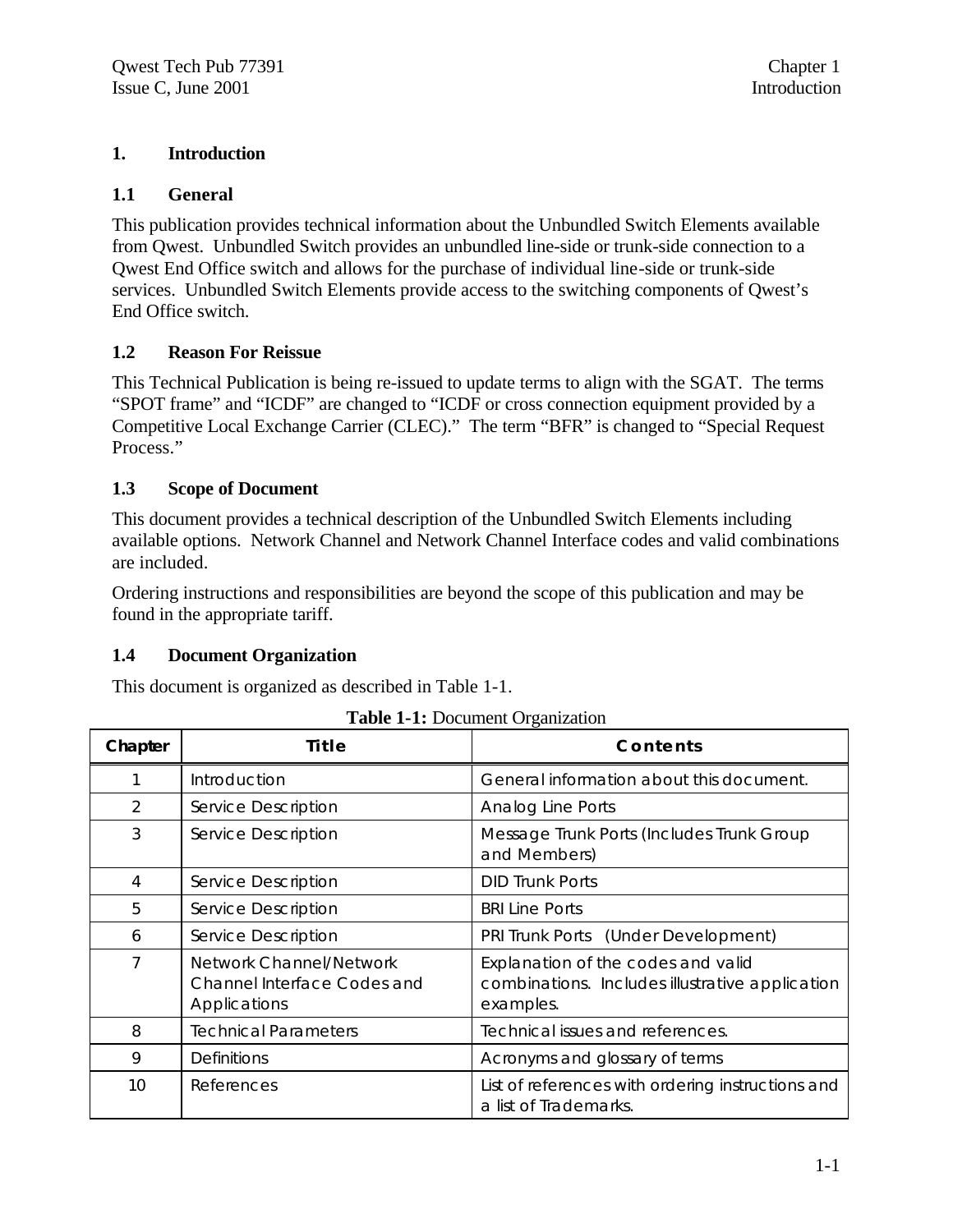## **1. Introduction**

## **1.1 General**

This publication provides technical information about the Unbundled Switch Elements available from Qwest. Unbundled Switch provides an unbundled line-side or trunk-side connection to a Qwest End Office switch and allows for the purchase of individual line-side or trunk-side services. Unbundled Switch Elements provide access to the switching components of Qwest's End Office switch.

## **1.2 Reason For Reissue**

This Technical Publication is being re-issued to update terms to align with the SGAT. The terms "SPOT frame" and "ICDF" are changed to "ICDF or cross connection equipment provided by a Competitive Local Exchange Carrier (CLEC)." The term "BFR" is changed to "Special Request Process."

## **1.3 Scope of Document**

This document provides a technical description of the Unbundled Switch Elements including available options. Network Channel and Network Channel Interface codes and valid combinations are included.

Ordering instructions and responsibilities are beyond the scope of this publication and may be found in the appropriate tariff.

## **1.4 Document Organization**

This document is organized as described in Table 1-1.

|       | <b>Table 1-1:</b> Document Organization |
|-------|-----------------------------------------|
| Title | Conte                                   |
|       |                                         |

| Chapter       | Title                                                                  | Contents                                                                                           |
|---------------|------------------------------------------------------------------------|----------------------------------------------------------------------------------------------------|
|               | Introduction                                                           | General information about this document.                                                           |
| $\mathcal{P}$ | Service Description                                                    | <b>Analog Line Ports</b>                                                                           |
| 3             | Service Description                                                    | Message Trunk Ports (Includes Trunk Group<br>and Members)                                          |
| 4             | Service Description                                                    | <b>DID Trunk Ports</b>                                                                             |
| 5             | Service Description                                                    | <b>BRI Line Ports</b>                                                                              |
| 6             | Service Description                                                    | PRI Trunk Ports (Under Development)                                                                |
| 7             | Network Channel/Network<br>Channel Interface Codes and<br>Applications | Explanation of the codes and valid<br>combinations. Includes illustrative application<br>examples. |
| 8             | <b>Technical Parameters</b>                                            | Technical issues and references.                                                                   |
| 9             | <b>Definitions</b>                                                     | Acronyms and glossary of terms                                                                     |
| 10            | References                                                             | List of references with ordering instructions and<br>a list of Trademarks.                         |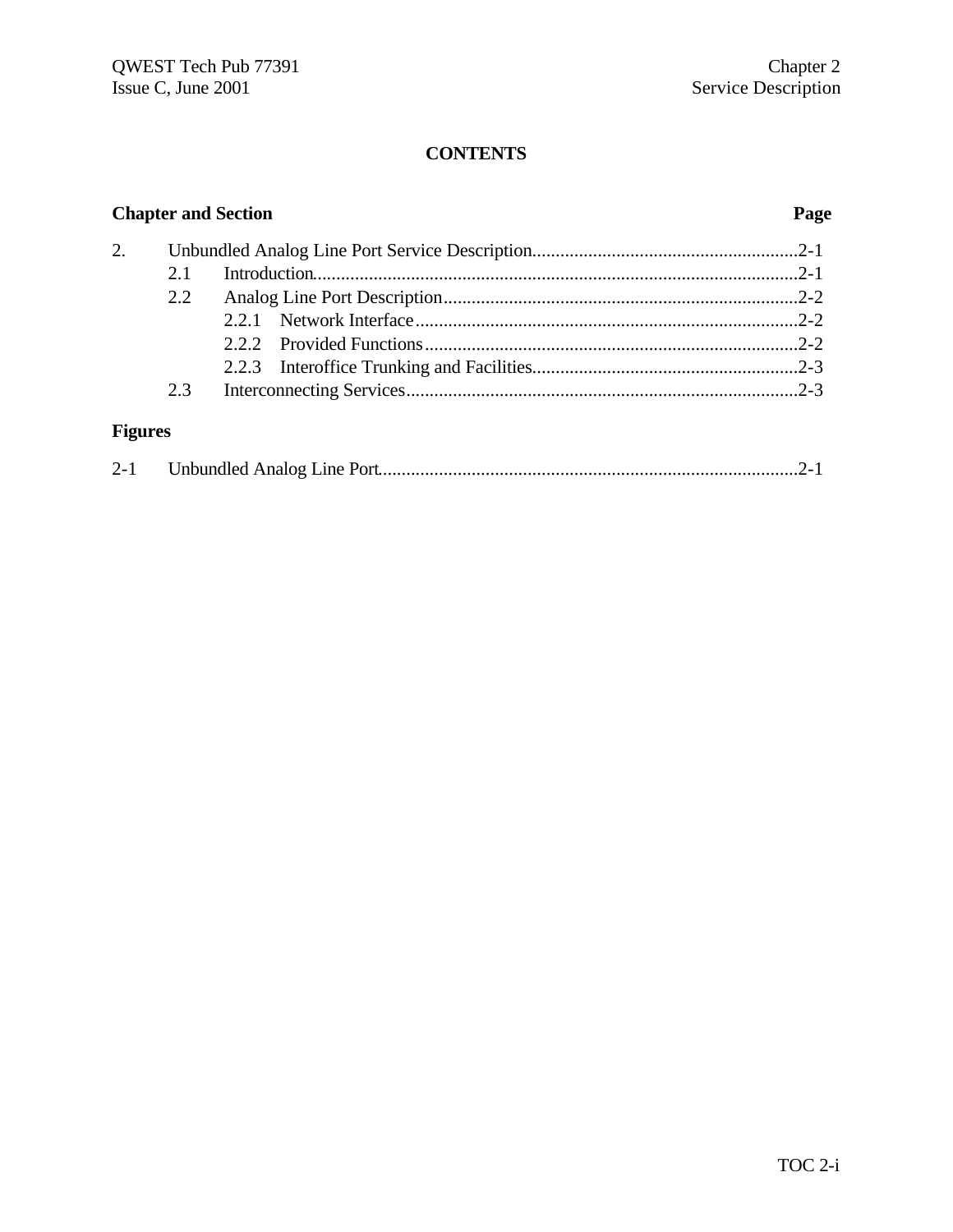## **Chapter and Section Page** 2. Unbundled Analog Line Port Service Description.........................................................2-1 2.1 Introduction........................................................................................................2-1 2.2 Analog Line Port Description............................................................................2-2 2.2.1 Network Interface..................................................................................2-2 2.2.2 Provided Functions................................................................................2-2 2.2.3 Interoffice Trunking and Facilities.........................................................2-3 2.3 Interconnecting Services....................................................................................2-3 **Figures**

| $2 - 1$ |  |  |
|---------|--|--|
|         |  |  |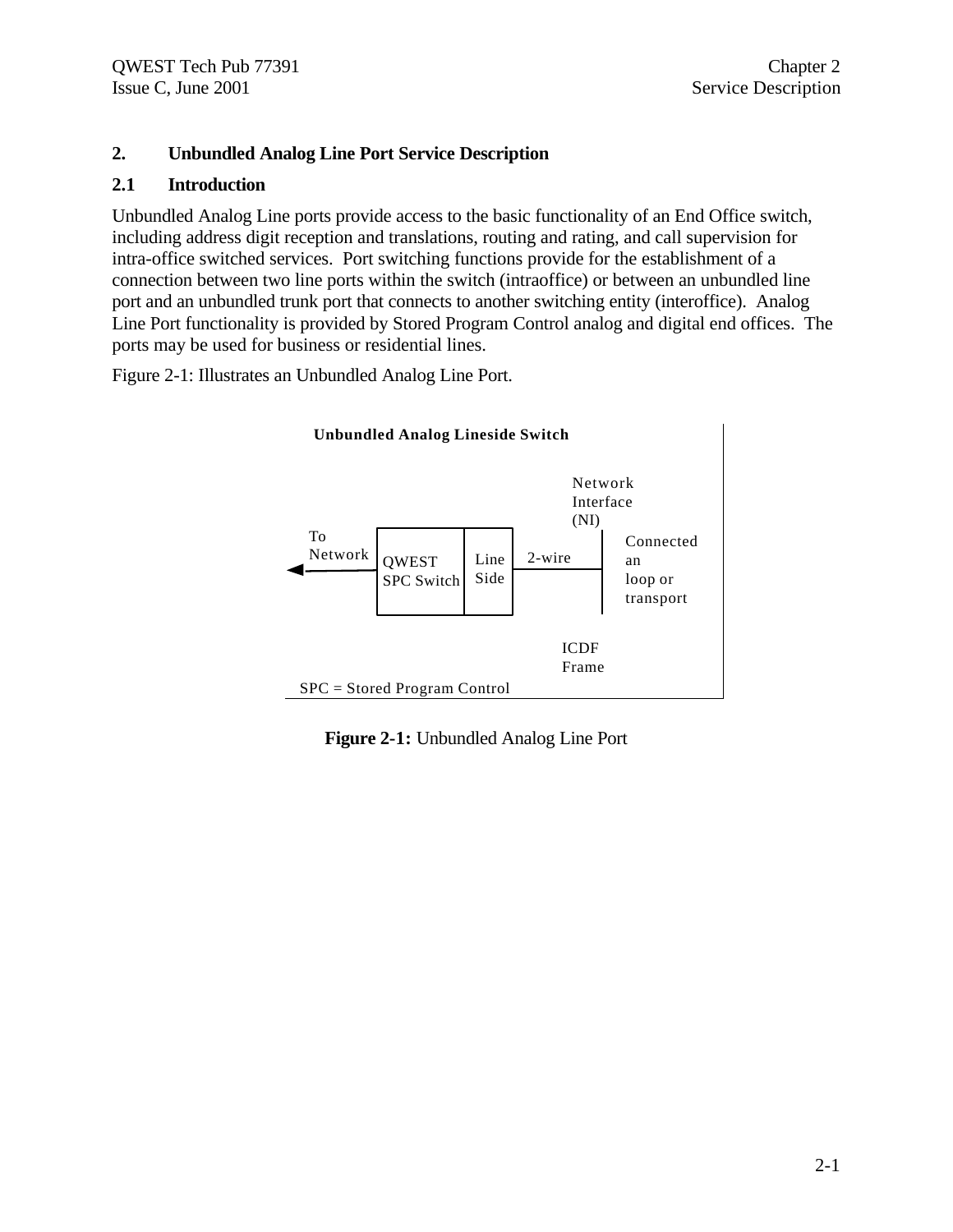## **2. Unbundled Analog Line Port Service Description**

### **2.1 Introduction**

Unbundled Analog Line ports provide access to the basic functionality of an End Office switch, including address digit reception and translations, routing and rating, and call supervision for intra-office switched services. Port switching functions provide for the establishment of a connection between two line ports within the switch (intraoffice) or between an unbundled line port and an unbundled trunk port that connects to another switching entity (interoffice). Analog Line Port functionality is provided by Stored Program Control analog and digital end offices. The ports may be used for business or residential lines.

Figure 2-1: Illustrates an Unbundled Analog Line Port.



**Figure 2-1:** Unbundled Analog Line Port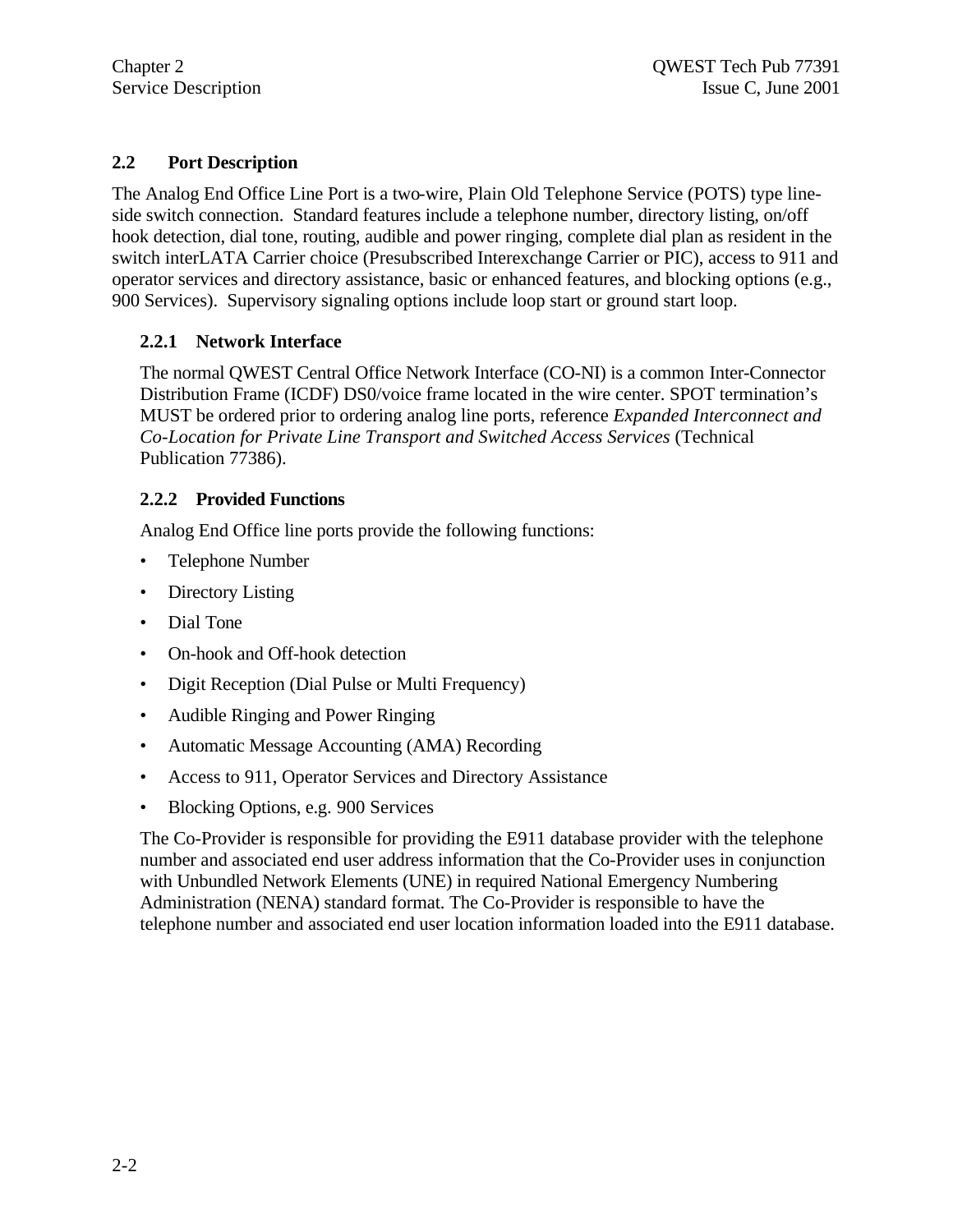## **2.2 Port Description**

The Analog End Office Line Port is a two-wire, Plain Old Telephone Service (POTS) type lineside switch connection. Standard features include a telephone number, directory listing, on/off hook detection, dial tone, routing, audible and power ringing, complete dial plan as resident in the switch interLATA Carrier choice (Presubscribed Interexchange Carrier or PIC), access to 911 and operator services and directory assistance, basic or enhanced features, and blocking options (e.g., 900 Services). Supervisory signaling options include loop start or ground start loop.

## **2.2.1 Network Interface**

The normal QWEST Central Office Network Interface (CO-NI) is a common Inter-Connector Distribution Frame (ICDF) DS0/voice frame located in the wire center. SPOT termination's MUST be ordered prior to ordering analog line ports, reference *Expanded Interconnect and Co-Location for Private Line Transport and Switched Access Services* (Technical Publication 77386).

## **2.2.2 Provided Functions**

Analog End Office line ports provide the following functions:

- Telephone Number
- Directory Listing
- Dial Tone
- On-hook and Off-hook detection
- Digit Reception (Dial Pulse or Multi Frequency)
- Audible Ringing and Power Ringing
- Automatic Message Accounting (AMA) Recording
- Access to 911, Operator Services and Directory Assistance
- Blocking Options, e.g. 900 Services

The Co-Provider is responsible for providing the E911 database provider with the telephone number and associated end user address information that the Co-Provider uses in conjunction with Unbundled Network Elements (UNE) in required National Emergency Numbering Administration (NENA) standard format. The Co-Provider is responsible to have the telephone number and associated end user location information loaded into the E911 database.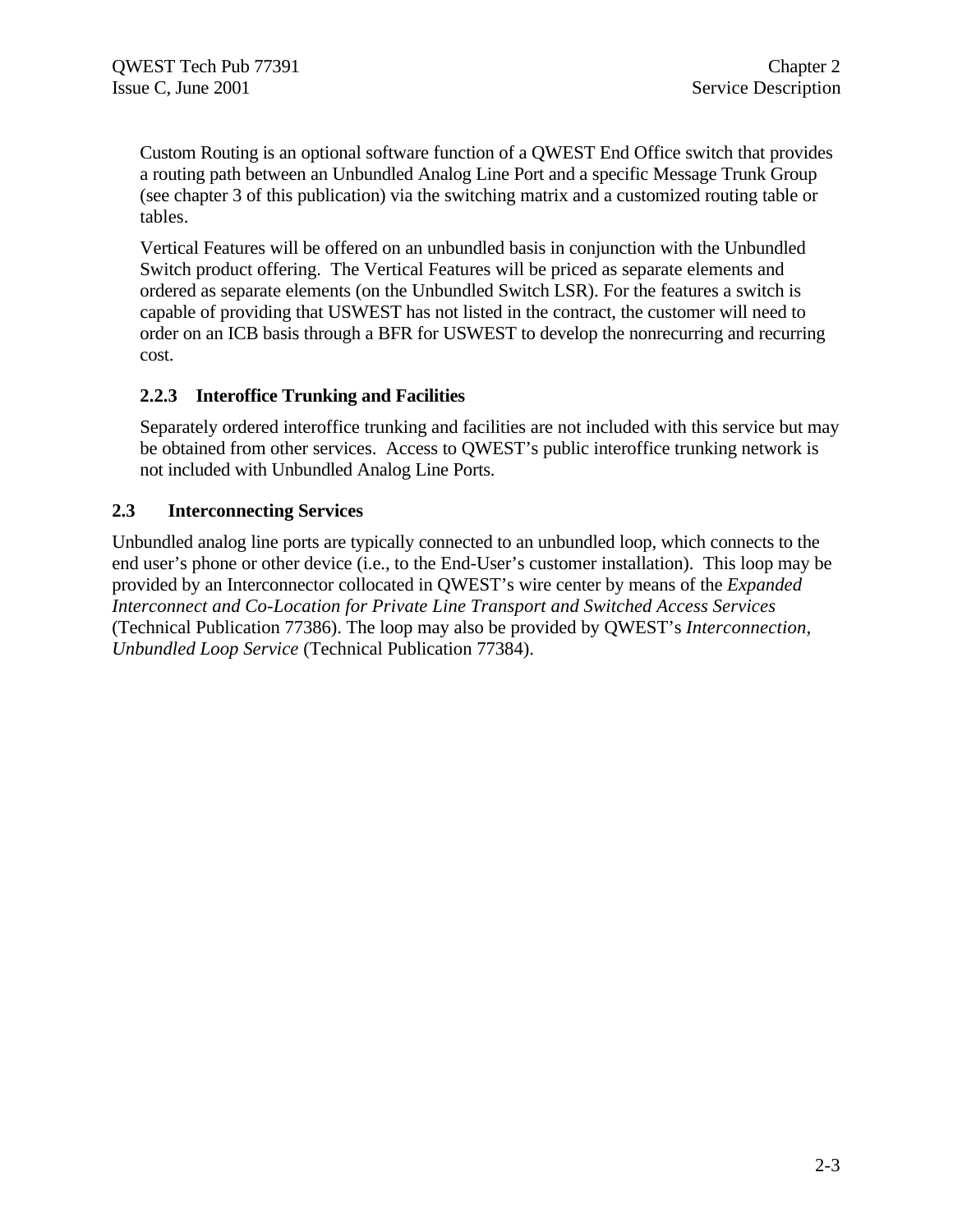Custom Routing is an optional software function of a QWEST End Office switch that provides a routing path between an Unbundled Analog Line Port and a specific Message Trunk Group (see chapter 3 of this publication) via the switching matrix and a customized routing table or tables.

Vertical Features will be offered on an unbundled basis in conjunction with the Unbundled Switch product offering. The Vertical Features will be priced as separate elements and ordered as separate elements (on the Unbundled Switch LSR). For the features a switch is capable of providing that USWEST has not listed in the contract, the customer will need to order on an ICB basis through a BFR for USWEST to develop the nonrecurring and recurring cost.

## **2.2.3 Interoffice Trunking and Facilities**

Separately ordered interoffice trunking and facilities are not included with this service but may be obtained from other services. Access to QWEST's public interoffice trunking network is not included with Unbundled Analog Line Ports.

## **2.3 Interconnecting Services**

Unbundled analog line ports are typically connected to an unbundled loop, which connects to the end user's phone or other device (i.e., to the End-User's customer installation). This loop may be provided by an Interconnector collocated in QWEST's wire center by means of the *Expanded Interconnect and Co-Location for Private Line Transport and Switched Access Services* (Technical Publication 77386). The loop may also be provided by QWEST's *Interconnection, Unbundled Loop Service* (Technical Publication 77384).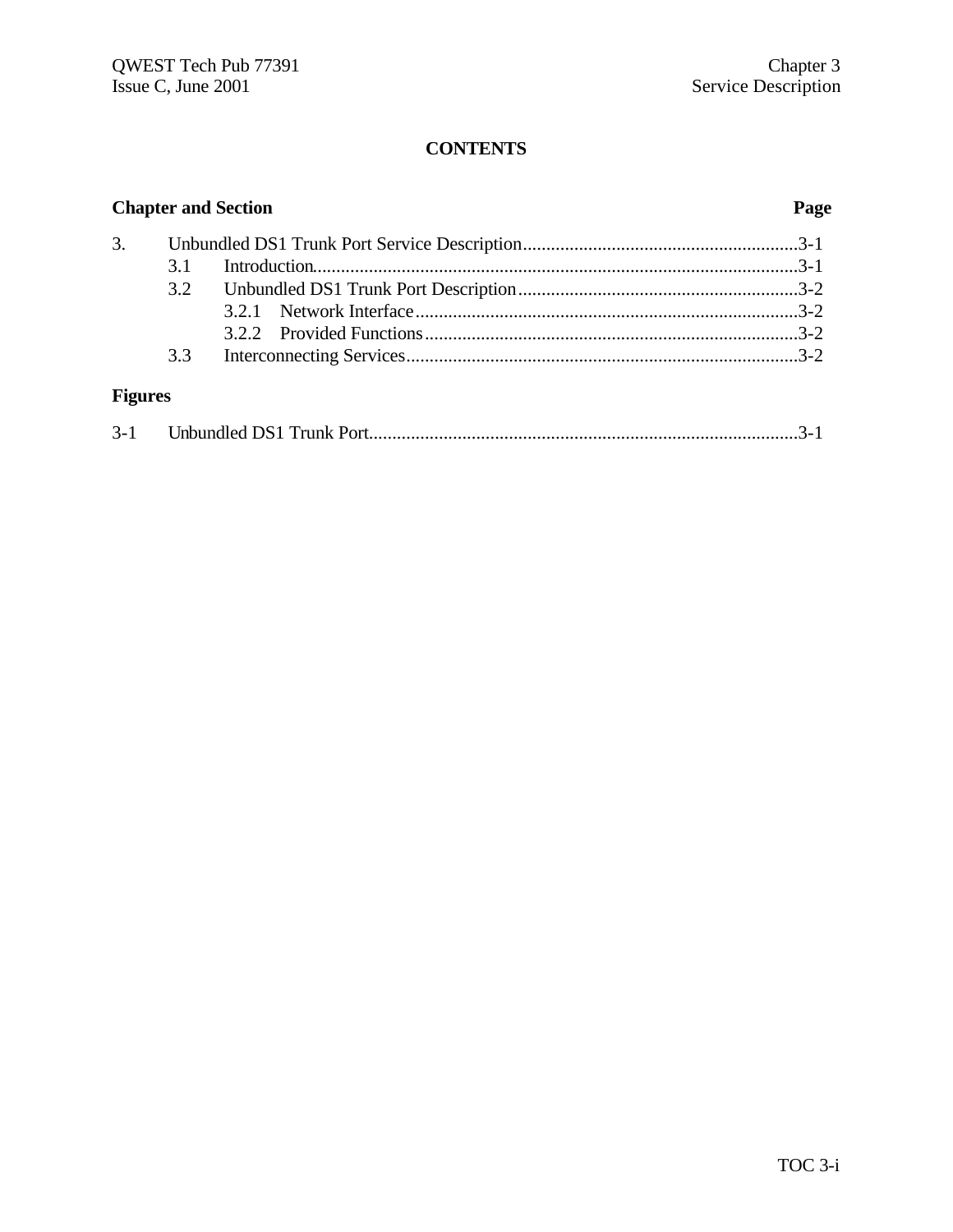| <b>Chapter and Section</b> |     |  |  | Page |  |
|----------------------------|-----|--|--|------|--|
| 3.                         |     |  |  |      |  |
|                            | 3.1 |  |  |      |  |
|                            |     |  |  |      |  |
|                            |     |  |  |      |  |
|                            |     |  |  |      |  |
|                            | 3.3 |  |  |      |  |
| <b>Figures</b>             |     |  |  |      |  |

| $3 - 1$ |  |  |  |
|---------|--|--|--|
|---------|--|--|--|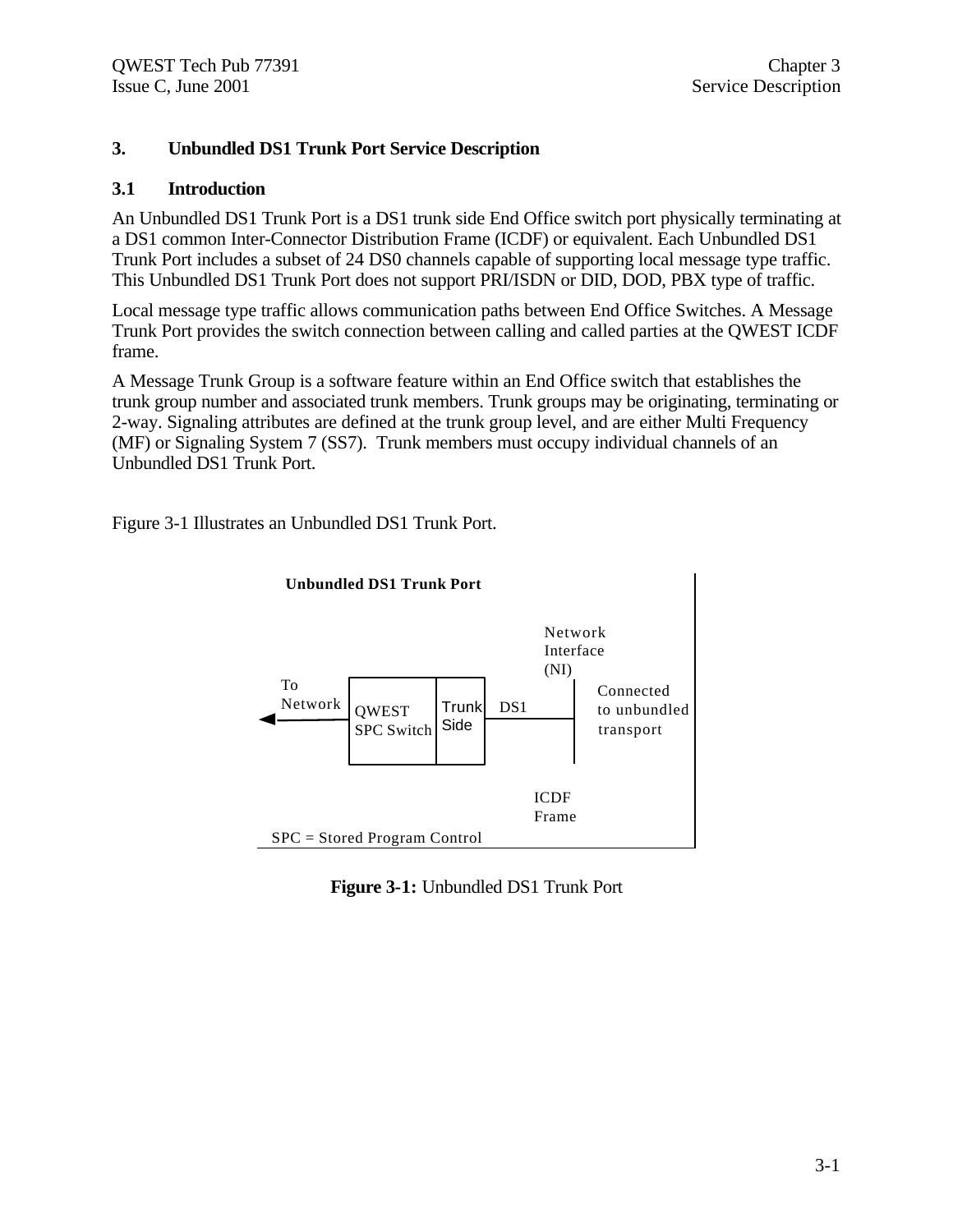## **3. Unbundled DS1 Trunk Port Service Description**

## **3.1 Introduction**

An Unbundled DS1 Trunk Port is a DS1 trunk side End Office switch port physically terminating at a DS1 common Inter-Connector Distribution Frame (ICDF) or equivalent. Each Unbundled DS1 Trunk Port includes a subset of 24 DS0 channels capable of supporting local message type traffic. This Unbundled DS1 Trunk Port does not support PRI/ISDN or DID, DOD, PBX type of traffic.

Local message type traffic allows communication paths between End Office Switches. A Message Trunk Port provides the switch connection between calling and called parties at the QWEST ICDF frame.

A Message Trunk Group is a software feature within an End Office switch that establishes the trunk group number and associated trunk members. Trunk groups may be originating, terminating or 2-way. Signaling attributes are defined at the trunk group level, and are either Multi Frequency (MF) or Signaling System 7 (SS7). Trunk members must occupy individual channels of an Unbundled DS1 Trunk Port.

Figure 3-1 Illustrates an Unbundled DS1 Trunk Port.



**Figure 3-1:** Unbundled DS1 Trunk Port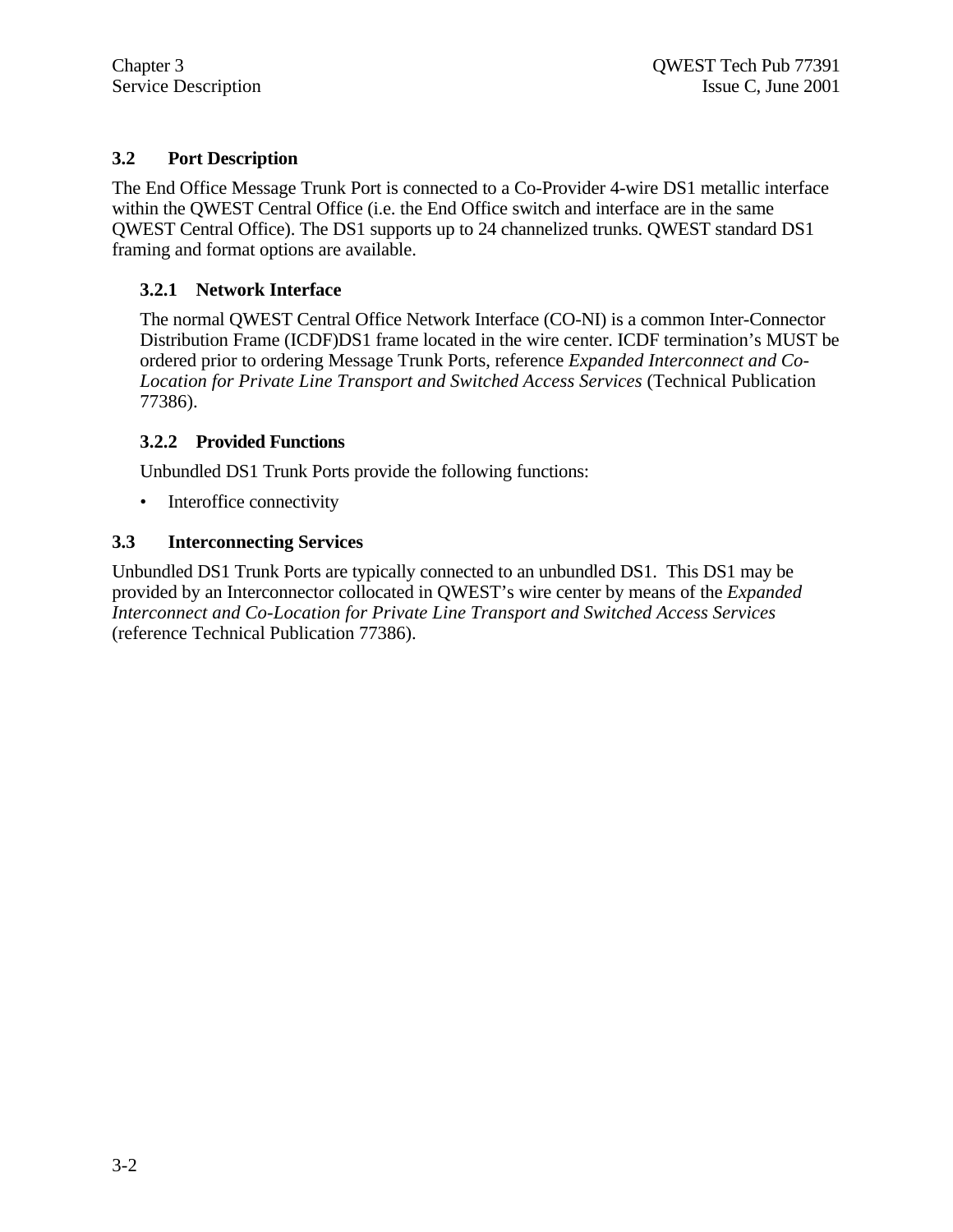## **3.2 Port Description**

The End Office Message Trunk Port is connected to a Co-Provider 4-wire DS1 metallic interface within the QWEST Central Office (i.e. the End Office switch and interface are in the same QWEST Central Office). The DS1 supports up to 24 channelized trunks. QWEST standard DS1 framing and format options are available.

## **3.2.1 Network Interface**

The normal QWEST Central Office Network Interface (CO-NI) is a common Inter-Connector Distribution Frame (ICDF)DS1 frame located in the wire center. ICDF termination's MUST be ordered prior to ordering Message Trunk Ports, reference *Expanded Interconnect and Co-Location for Private Line Transport and Switched Access Services* (Technical Publication 77386).

## **3.2.2 Provided Functions**

Unbundled DS1 Trunk Ports provide the following functions:

• Interoffice connectivity

## **3.3 Interconnecting Services**

Unbundled DS1 Trunk Ports are typically connected to an unbundled DS1. This DS1 may be provided by an Interconnector collocated in QWEST's wire center by means of the *Expanded Interconnect and Co-Location for Private Line Transport and Switched Access Services* (reference Technical Publication 77386).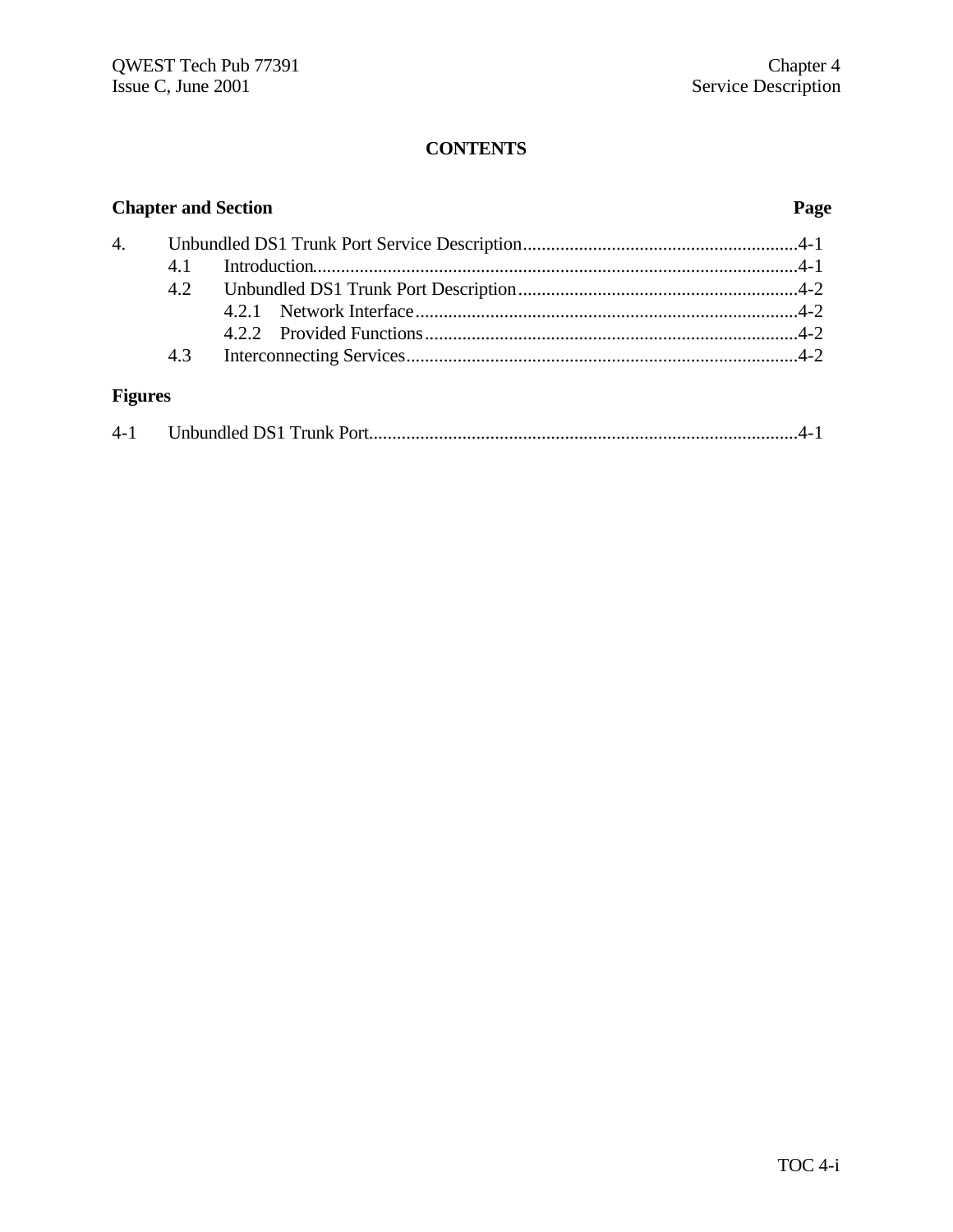| <b>Chapter and Section</b> |     |  |  |
|----------------------------|-----|--|--|
| 4.                         |     |  |  |
|                            | 4.1 |  |  |
|                            |     |  |  |
|                            |     |  |  |
|                            |     |  |  |
|                            | 4.3 |  |  |
| <b>Figures</b>             |     |  |  |

| 4-1 |  |
|-----|--|
|-----|--|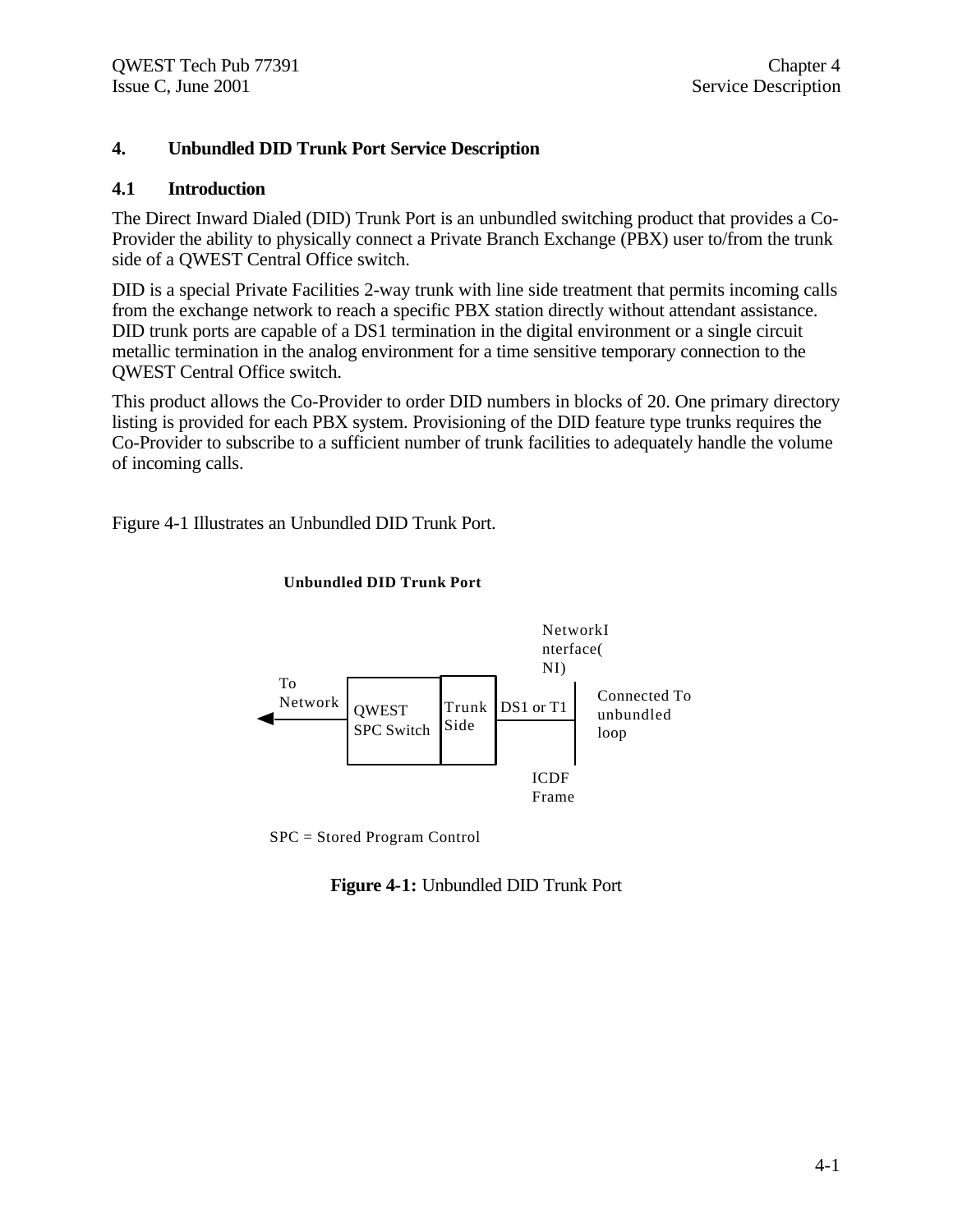## **4. Unbundled DID Trunk Port Service Description**

### **4.1 Introduction**

The Direct Inward Dialed (DID) Trunk Port is an unbundled switching product that provides a Co-Provider the ability to physically connect a Private Branch Exchange (PBX) user to/from the trunk side of a QWEST Central Office switch.

DID is a special Private Facilities 2-way trunk with line side treatment that permits incoming calls from the exchange network to reach a specific PBX station directly without attendant assistance. DID trunk ports are capable of a DS1 termination in the digital environment or a single circuit metallic termination in the analog environment for a time sensitive temporary connection to the QWEST Central Office switch.

This product allows the Co-Provider to order DID numbers in blocks of 20. One primary directory listing is provided for each PBX system. Provisioning of the DID feature type trunks requires the Co-Provider to subscribe to a sufficient number of trunk facilities to adequately handle the volume of incoming calls.

Figure 4-1 Illustrates an Unbundled DID Trunk Port.



#### **Unbundled DID Trunk Port**

SPC = Stored Program Control

### **Figure 4-1:** Unbundled DID Trunk Port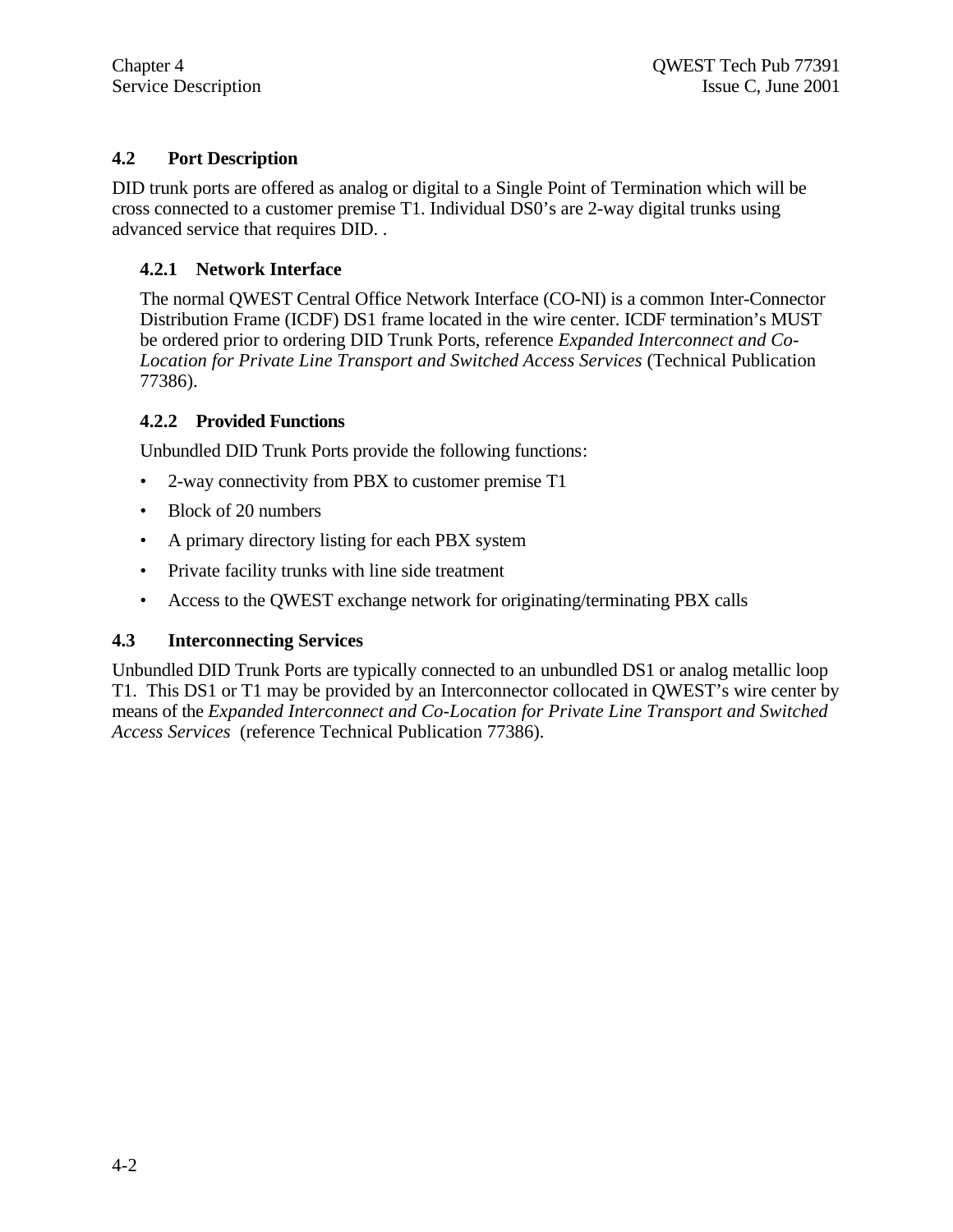## **4.2 Port Description**

DID trunk ports are offered as analog or digital to a Single Point of Termination which will be cross connected to a customer premise T1. Individual DS0's are 2-way digital trunks using advanced service that requires DID. .

## **4.2.1 Network Interface**

The normal QWEST Central Office Network Interface (CO-NI) is a common Inter-Connector Distribution Frame (ICDF) DS1 frame located in the wire center. ICDF termination's MUST be ordered prior to ordering DID Trunk Ports, reference *Expanded Interconnect and Co-Location for Private Line Transport and Switched Access Services* (Technical Publication 77386).

## **4.2.2 Provided Functions**

Unbundled DID Trunk Ports provide the following functions:

- 2-way connectivity from PBX to customer premise T1
- Block of 20 numbers
- A primary directory listing for each PBX system
- Private facility trunks with line side treatment
- Access to the QWEST exchange network for originating/terminating PBX calls

## **4.3 Interconnecting Services**

Unbundled DID Trunk Ports are typically connected to an unbundled DS1 or analog metallic loop T1. This DS1 or T1 may be provided by an Interconnector collocated in QWEST's wire center by means of the *Expanded Interconnect and Co-Location for Private Line Transport and Switched Access Services* (reference Technical Publication 77386).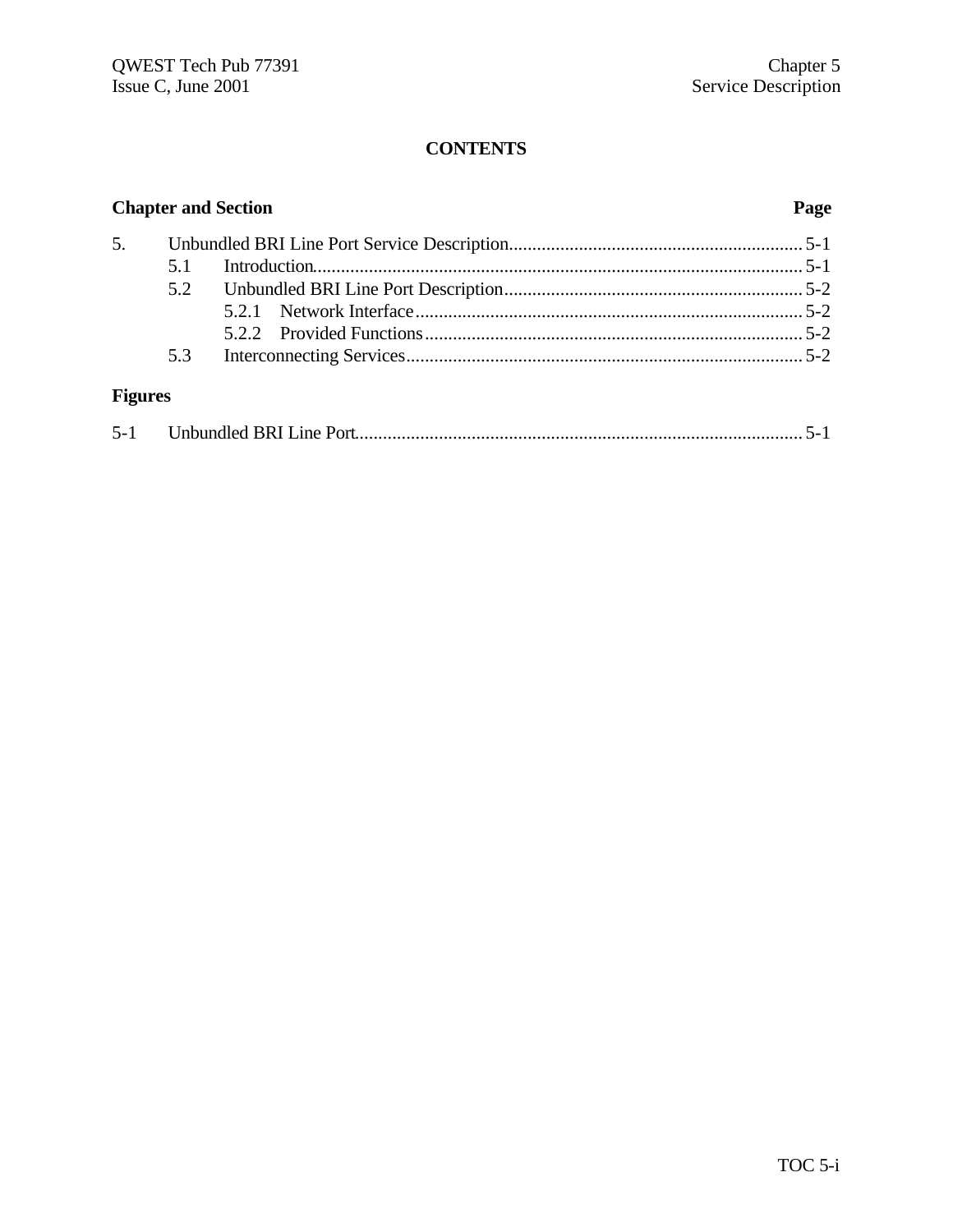|                | <b>Chapter and Section</b> |  |  |
|----------------|----------------------------|--|--|
| 5.             |                            |  |  |
|                |                            |  |  |
|                |                            |  |  |
|                |                            |  |  |
|                |                            |  |  |
|                | 5.3                        |  |  |
| <b>Figures</b> |                            |  |  |

| $5 - 1$ |  |  |  |
|---------|--|--|--|
|---------|--|--|--|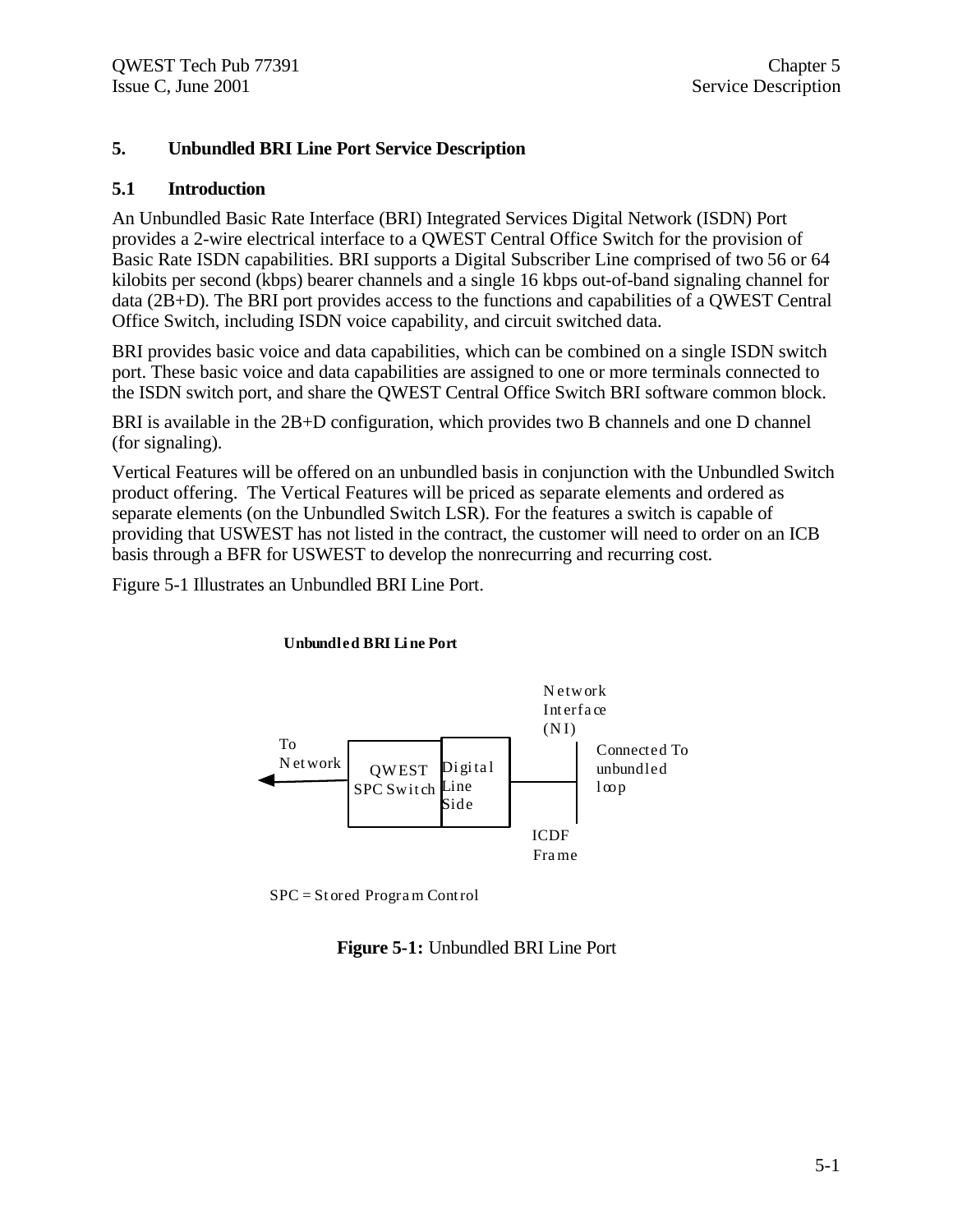## **5. Unbundled BRI Line Port Service Description**

## **5.1 Introduction**

An Unbundled Basic Rate Interface (BRI) Integrated Services Digital Network (ISDN) Port provides a 2-wire electrical interface to a QWEST Central Office Switch for the provision of Basic Rate ISDN capabilities. BRI supports a Digital Subscriber Line comprised of two 56 or 64 kilobits per second (kbps) bearer channels and a single 16 kbps out-of-band signaling channel for data (2B+D). The BRI port provides access to the functions and capabilities of a QWEST Central Office Switch, including ISDN voice capability, and circuit switched data.

BRI provides basic voice and data capabilities, which can be combined on a single ISDN switch port. These basic voice and data capabilities are assigned to one or more terminals connected to the ISDN switch port, and share the QWEST Central Office Switch BRI software common block.

BRI is available in the 2B+D configuration, which provides two B channels and one D channel (for signaling).

Vertical Features will be offered on an unbundled basis in conjunction with the Unbundled Switch product offering. The Vertical Features will be priced as separate elements and ordered as separate elements (on the Unbundled Switch LSR). For the features a switch is capable of providing that USWEST has not listed in the contract, the customer will need to order on an ICB basis through a BFR for USWEST to develop the nonrecurring and recurring cost.

Figure 5-1 Illustrates an Unbundled BRI Line Port.



### **Unbundled BRI Li ne Port**

SPC = St ored Progra m Control

**Figure 5-1:** Unbundled BRI Line Port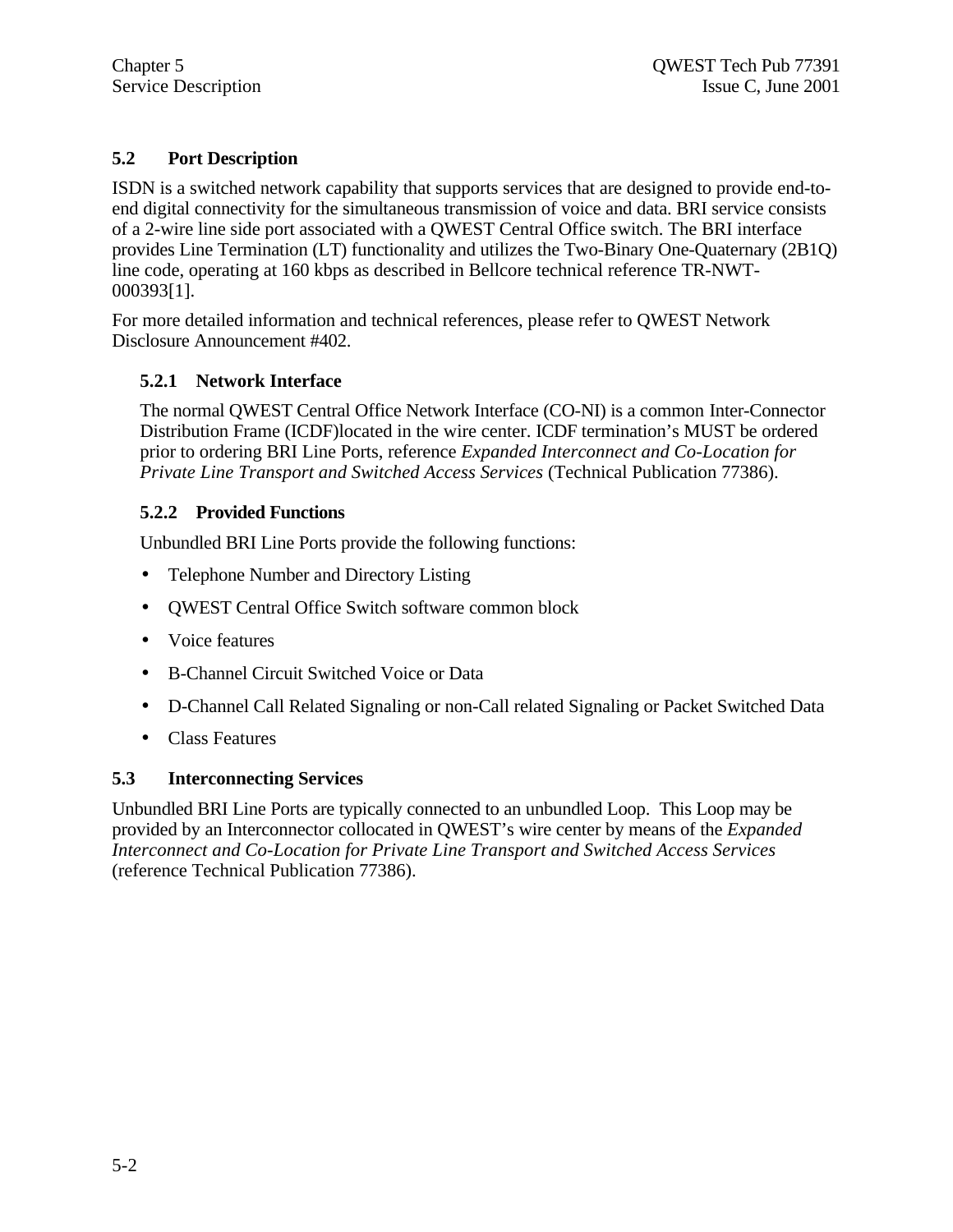## **5.2 Port Description**

ISDN is a switched network capability that supports services that are designed to provide end-toend digital connectivity for the simultaneous transmission of voice and data. BRI service consists of a 2-wire line side port associated with a QWEST Central Office switch. The BRI interface provides Line Termination (LT) functionality and utilizes the Two-Binary One-Quaternary (2B1Q) line code, operating at 160 kbps as described in Bellcore technical reference TR-NWT-000393[1].

For more detailed information and technical references, please refer to QWEST Network Disclosure Announcement #402.

## **5.2.1 Network Interface**

The normal QWEST Central Office Network Interface (CO-NI) is a common Inter-Connector Distribution Frame (ICDF)located in the wire center. ICDF termination's MUST be ordered prior to ordering BRI Line Ports, reference *Expanded Interconnect and Co-Location for Private Line Transport and Switched Access Services* (Technical Publication 77386).

## **5.2.2 Provided Functions**

Unbundled BRI Line Ports provide the following functions:

- Telephone Number and Directory Listing
- QWEST Central Office Switch software common block
- Voice features
- B-Channel Circuit Switched Voice or Data
- D-Channel Call Related Signaling or non-Call related Signaling or Packet Switched Data
- Class Features

## **5.3 Interconnecting Services**

Unbundled BRI Line Ports are typically connected to an unbundled Loop. This Loop may be provided by an Interconnector collocated in QWEST's wire center by means of the *Expanded Interconnect and Co-Location for Private Line Transport and Switched Access Services* (reference Technical Publication 77386).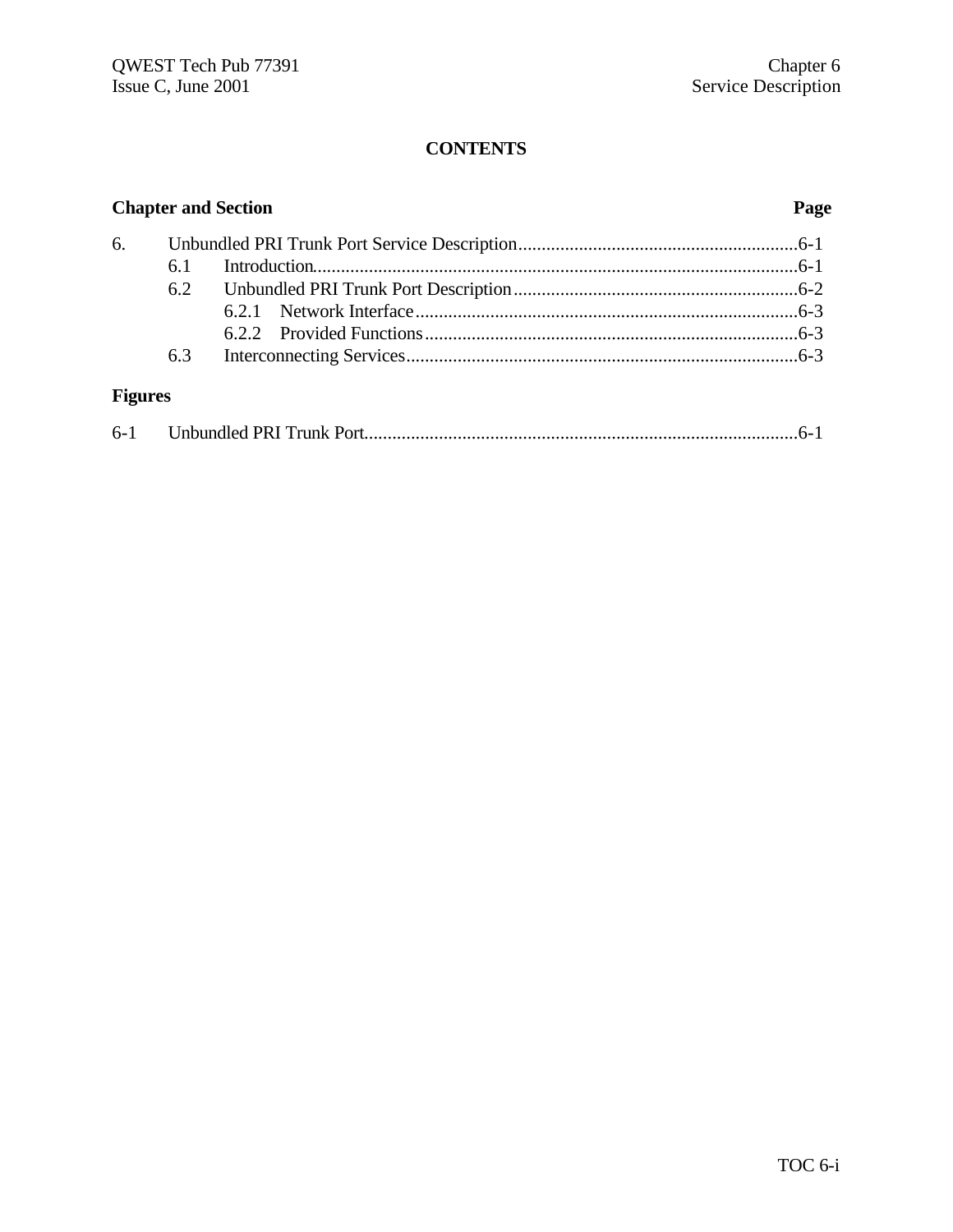| <b>Chapter and Section</b> |     |  | Page |
|----------------------------|-----|--|------|
| 6.                         |     |  |      |
|                            | 6.1 |  |      |
|                            | 6.2 |  |      |
|                            |     |  |      |
|                            |     |  |      |
|                            | 6.3 |  |      |
| <b>Figures</b>             |     |  |      |

| $6-1$ |  |  |  |
|-------|--|--|--|
|-------|--|--|--|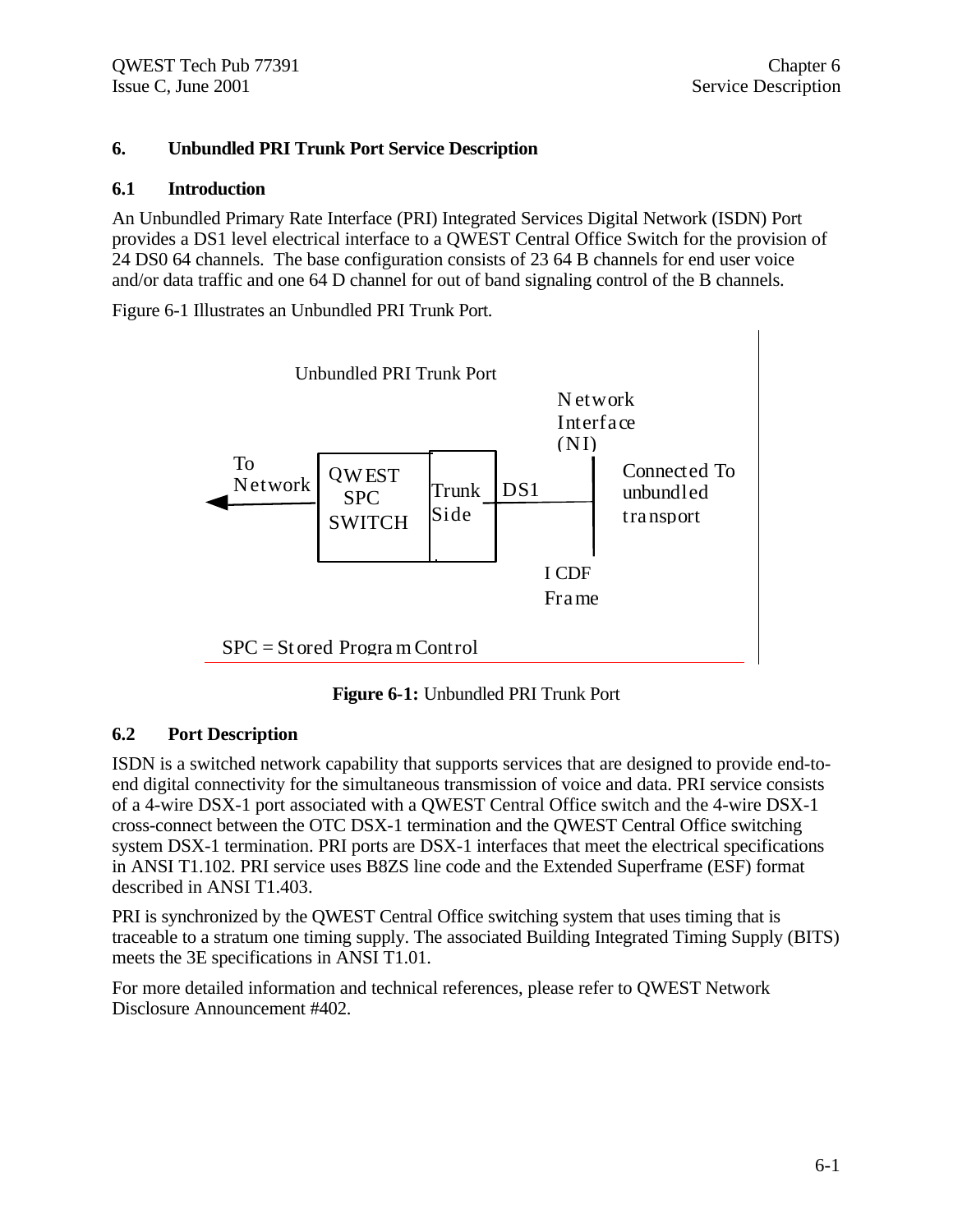## **6. Unbundled PRI Trunk Port Service Description**

## **6.1 Introduction**

An Unbundled Primary Rate Interface (PRI) Integrated Services Digital Network (ISDN) Port provides a DS1 level electrical interface to a QWEST Central Office Switch for the provision of 24 DS0 64 channels. The base configuration consists of 23 64 B channels for end user voice and/or data traffic and one 64 D channel for out of band signaling control of the B channels.

Figure 6-1 Illustrates an Unbundled PRI Trunk Port.



**Figure 6-1:** Unbundled PRI Trunk Port

## **6.2 Port Description**

ISDN is a switched network capability that supports services that are designed to provide end-toend digital connectivity for the simultaneous transmission of voice and data. PRI service consists of a 4-wire DSX-1 port associated with a QWEST Central Office switch and the 4-wire DSX-1 cross-connect between the OTC DSX-1 termination and the QWEST Central Office switching system DSX-1 termination. PRI ports are DSX-1 interfaces that meet the electrical specifications in ANSI T1.102. PRI service uses B8ZS line code and the Extended Superframe (ESF) format described in ANSI T1.403.

PRI is synchronized by the QWEST Central Office switching system that uses timing that is traceable to a stratum one timing supply. The associated Building Integrated Timing Supply (BITS) meets the 3E specifications in ANSI T1.01.

For more detailed information and technical references, please refer to QWEST Network Disclosure Announcement #402.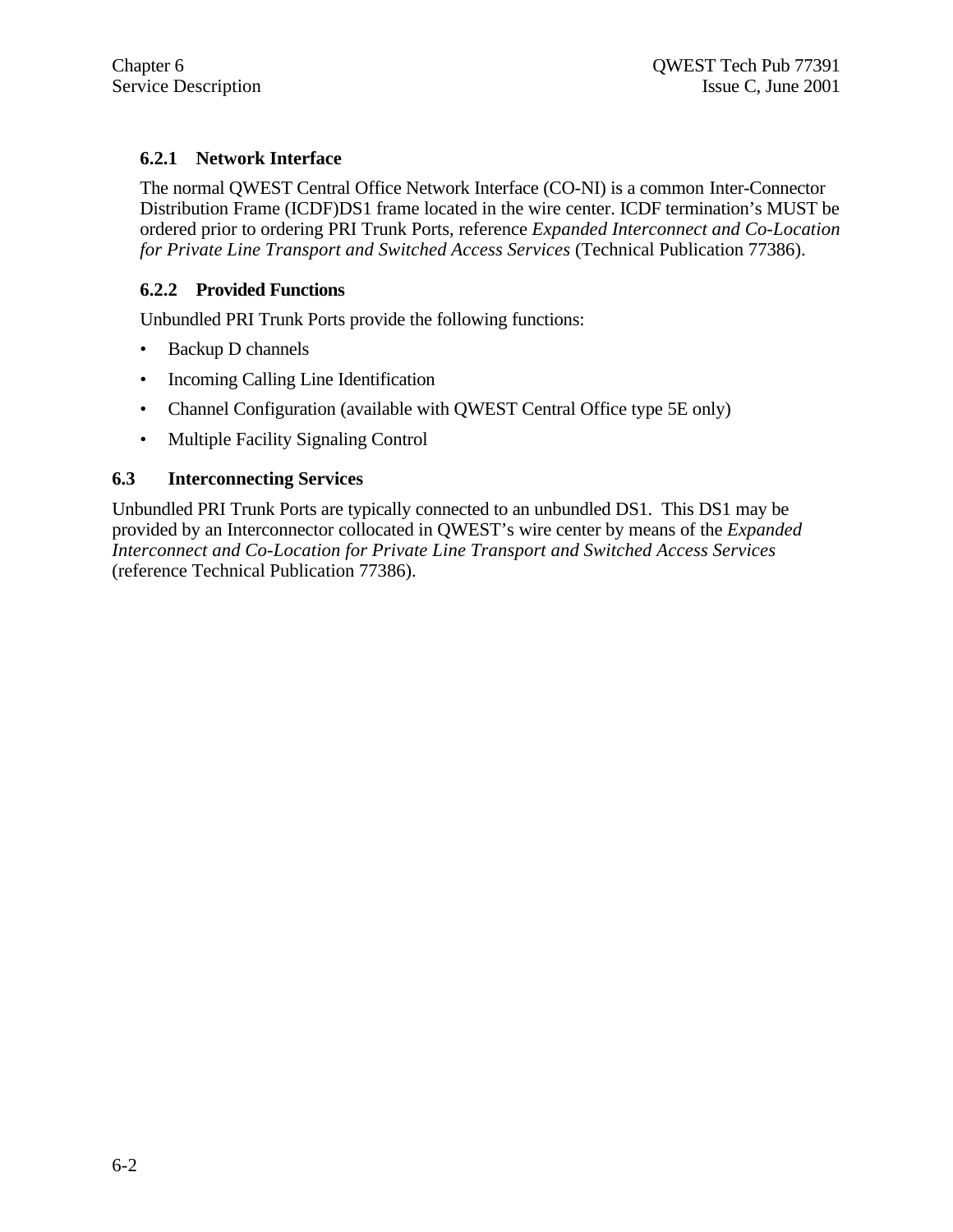## **6.2.1 Network Interface**

The normal QWEST Central Office Network Interface (CO-NI) is a common Inter-Connector Distribution Frame (ICDF)DS1 frame located in the wire center. ICDF termination's MUST be ordered prior to ordering PRI Trunk Ports, reference *Expanded Interconnect and Co-Location for Private Line Transport and Switched Access Services* (Technical Publication 77386).

## **6.2.2 Provided Functions**

Unbundled PRI Trunk Ports provide the following functions:

- Backup D channels
- Incoming Calling Line Identification
- Channel Configuration (available with QWEST Central Office type 5E only)
- Multiple Facility Signaling Control

## **6.3 Interconnecting Services**

Unbundled PRI Trunk Ports are typically connected to an unbundled DS1. This DS1 may be provided by an Interconnector collocated in QWEST's wire center by means of the *Expanded Interconnect and Co-Location for Private Line Transport and Switched Access Services* (reference Technical Publication 77386).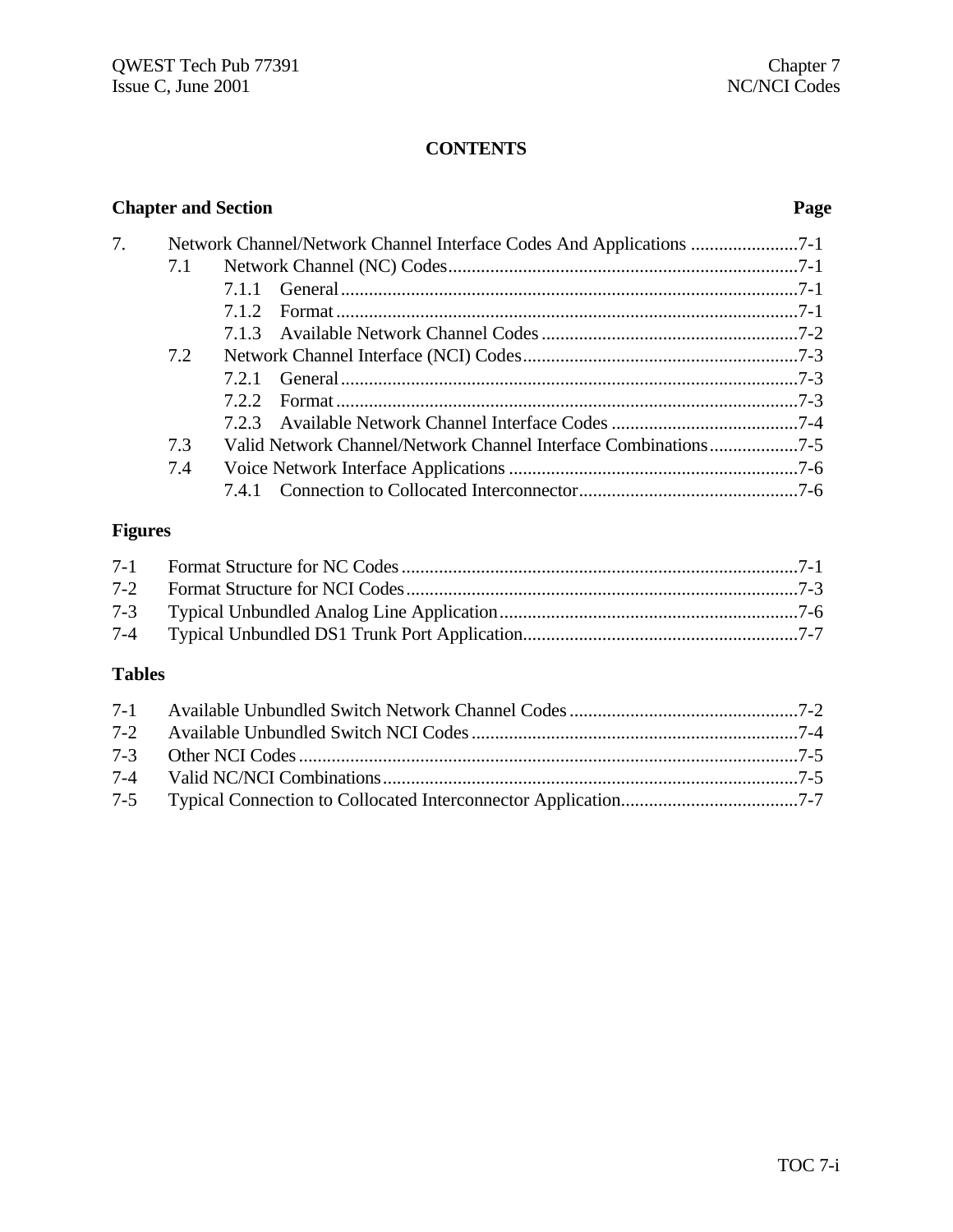| <b>Chapter and Section</b> |     |       |                                                                  | Page |
|----------------------------|-----|-------|------------------------------------------------------------------|------|
| 7.                         |     |       | Network Channel/Network Channel Interface Codes And Applications |      |
|                            | 7.1 |       |                                                                  |      |
|                            |     | 7.1.1 |                                                                  |      |
|                            |     | 7.1.2 |                                                                  |      |
|                            |     |       |                                                                  |      |
|                            | 7.2 |       |                                                                  |      |
|                            |     | 7.2.1 |                                                                  |      |
|                            |     | 722   |                                                                  |      |
|                            |     | 7.2.3 |                                                                  |      |
|                            | 7.3 |       | Valid Network Channel/Network Channel Interface Combinations7-5  |      |
|                            | 7.4 |       |                                                                  |      |
|                            |     |       |                                                                  |      |

## **Figures**

## **Tables**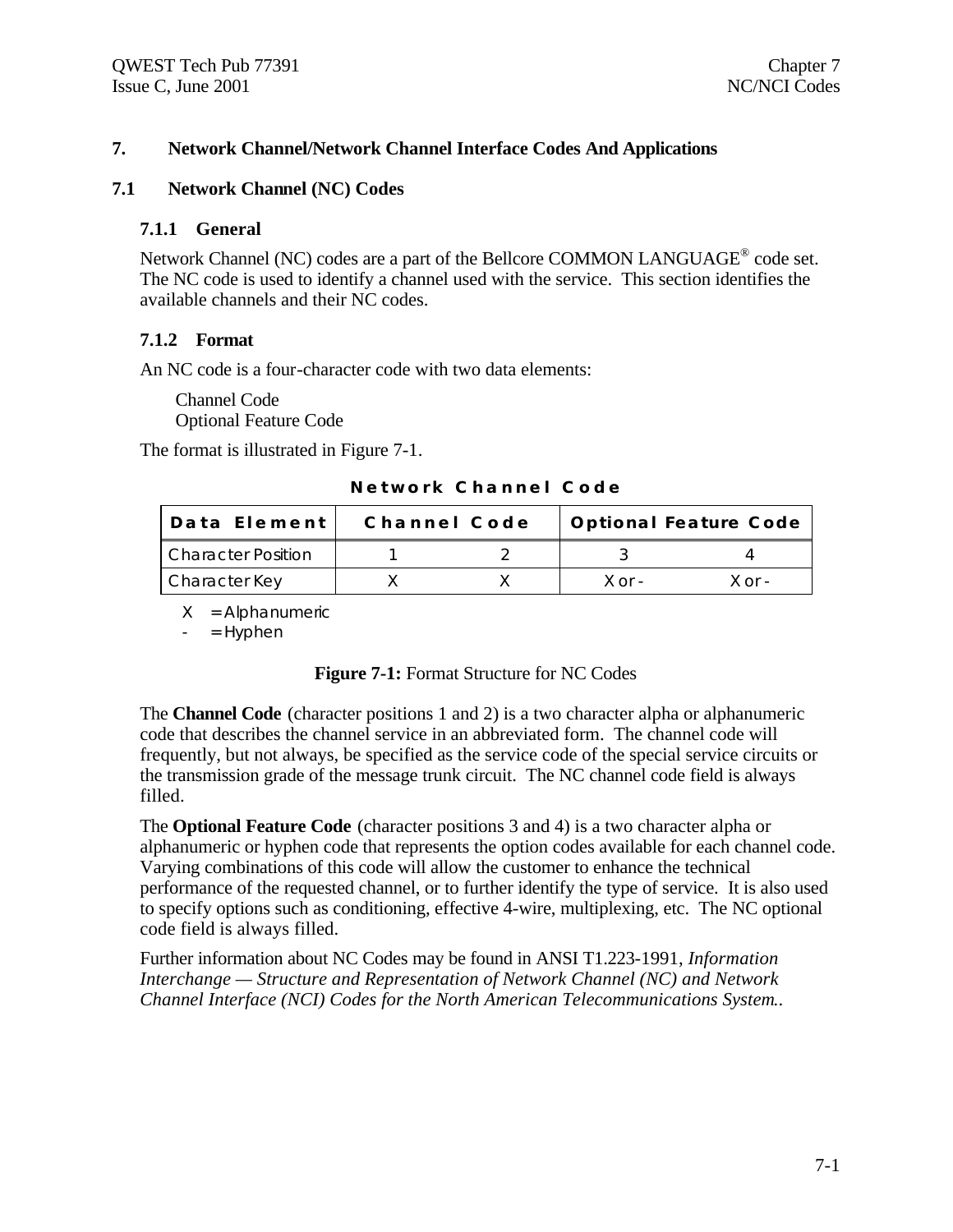## **7. Network Channel/Network Channel Interface Codes And Applications**

#### **7.1 Network Channel (NC) Codes**

#### **7.1.1 General**

Network Channel (NC) codes are a part of the Bellcore COMMON LANGUAGE<sup>®</sup> code set. The NC code is used to identify a channel used with the service. This section identifies the available channels and their NC codes.

#### **7.1.2 Format**

An NC code is a four-character code with two data elements:

Channel Code Optional Feature Code

The format is illustrated in Figure 7-1.

**Network Channel Code**

| Data Element              | Channel Code |  | Optional Feature Code |        |  |
|---------------------------|--------------|--|-----------------------|--------|--|
| <b>Character Position</b> |              |  |                       |        |  |
| Character Key             |              |  | $X$ or $-$            | X ∩r - |  |

 $X =$  Alphanumeric

 $=$  Hyphen

The **Channel Code** (character positions 1 and 2) is a two character alpha or alphanumeric code that describes the channel service in an abbreviated form. The channel code will frequently, but not always, be specified as the service code of the special service circuits or the transmission grade of the message trunk circuit. The NC channel code field is always filled.

The **Optional Feature Code** (character positions 3 and 4) is a two character alpha or alphanumeric or hyphen code that represents the option codes available for each channel code. Varying combinations of this code will allow the customer to enhance the technical performance of the requested channel, or to further identify the type of service. It is also used to specify options such as conditioning, effective 4-wire, multiplexing, etc. The NC optional code field is always filled.

Further information about NC Codes may be found in ANSI T1.223-1991, *Information Interchange — Structure and Representation of Network Channel (NC) and Network Channel Interface (NCI) Codes for the North American Telecommunications System.*.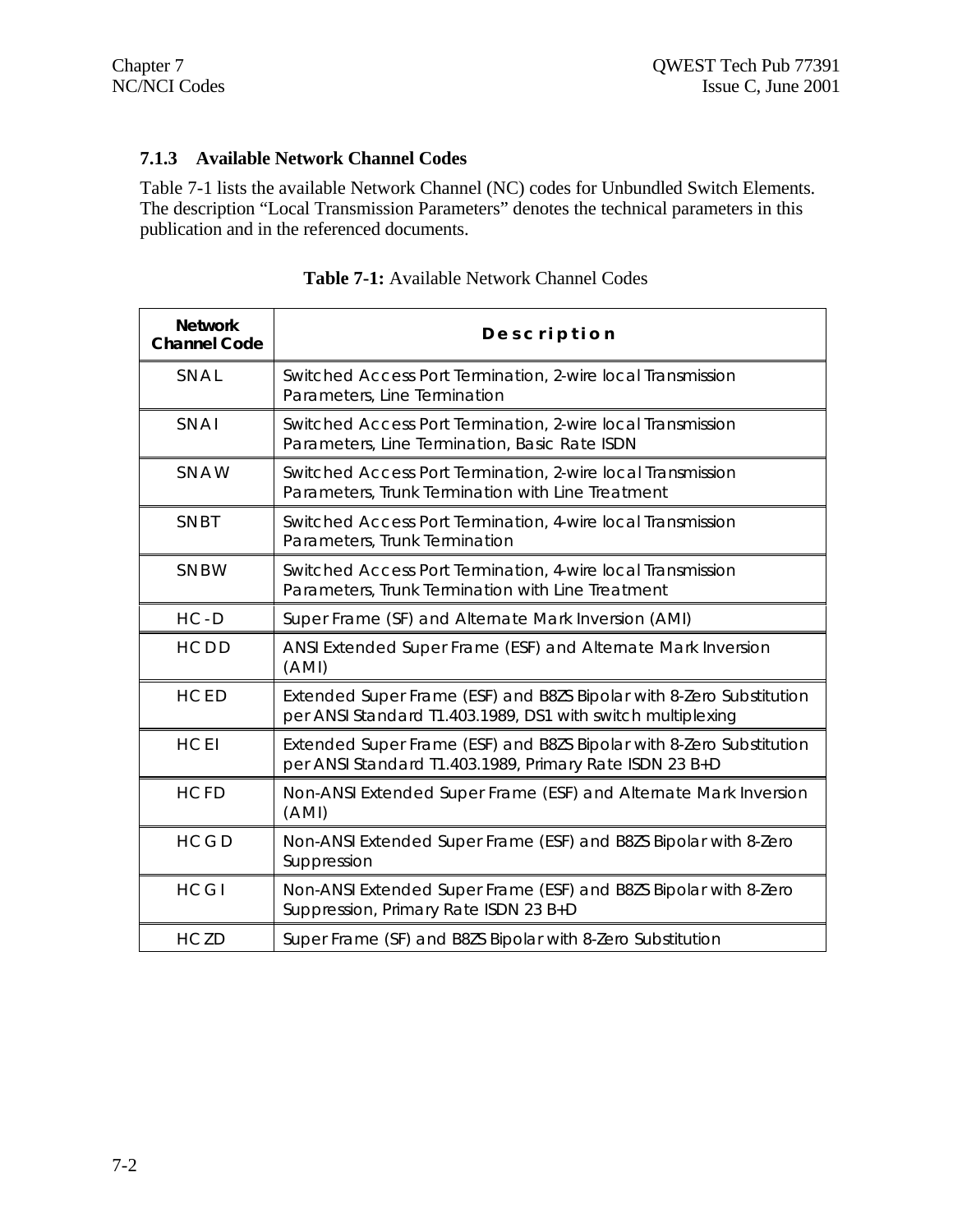## **7.1.3 Available Network Channel Codes**

Table 7-1 lists the available Network Channel (NC) codes for Unbundled Switch Elements. The description "Local Transmission Parameters" denotes the technical parameters in this publication and in the referenced documents.

| <b>Network</b><br><b>Channel Code</b> | Description                                                                                                                         |
|---------------------------------------|-------------------------------------------------------------------------------------------------------------------------------------|
| SNAL                                  | Switched Access Port Termination, 2-wire local Transmission<br>Parameters, Line Termination                                         |
| SNAI                                  | Switched Access Port Termination, 2-wire local Transmission<br>Parameters, Line Termination, Basic Rate ISDN                        |
| SNAW                                  | Switched Access Port Termination, 2-wire local Transmission<br>Parameters, Trunk Termination with Line Treatment                    |
| SNBT                                  | Switched Access Port Termination, 4-wire local Transmission<br>Parameters, Trunk Termination                                        |
| SNBW                                  | Switched Access Port Termination, 4-wire local Transmission<br>Parameters, Trunk Termination with Line Treatment                    |
| $HC - D$                              | Super Frame (SF) and Alternate Mark Inversion (AMI)                                                                                 |
| HCDD                                  | ANSI Extended Super Frame (ESF) and Alternate Mark Inversion<br>(AMI)                                                               |
| <b>HCED</b>                           | Extended Super Frame (ESF) and B8ZS Bipolar with 8-Zero Substitution<br>per ANSI Standard T1.403.1989, DS1 with switch multiplexing |
| <b>HCEI</b>                           | Extended Super Frame (ESF) and B8ZS Bipolar with 8-Zero Substitution<br>per ANSI Standard T1.403.1989, Primary Rate ISDN 23 B+D     |
| <b>HCFD</b>                           | Non-ANSI Extended Super Frame (ESF) and Alternate Mark Inversion<br>(AMI)                                                           |
| <b>HCGD</b>                           | Non-ANSI Extended Super Frame (ESF) and B8ZS Bipolar with 8-Zero<br>Suppression                                                     |
| <b>HCGI</b>                           | Non-ANSI Extended Super Frame (ESF) and B8ZS Bipolar with 8-Zero<br>Suppression, Primary Rate ISDN 23 B+D                           |
| <b>HCZD</b>                           | Super Frame (SF) and B8ZS Bipolar with 8-Zero Substitution                                                                          |

**Table 7-1:** Available Network Channel Codes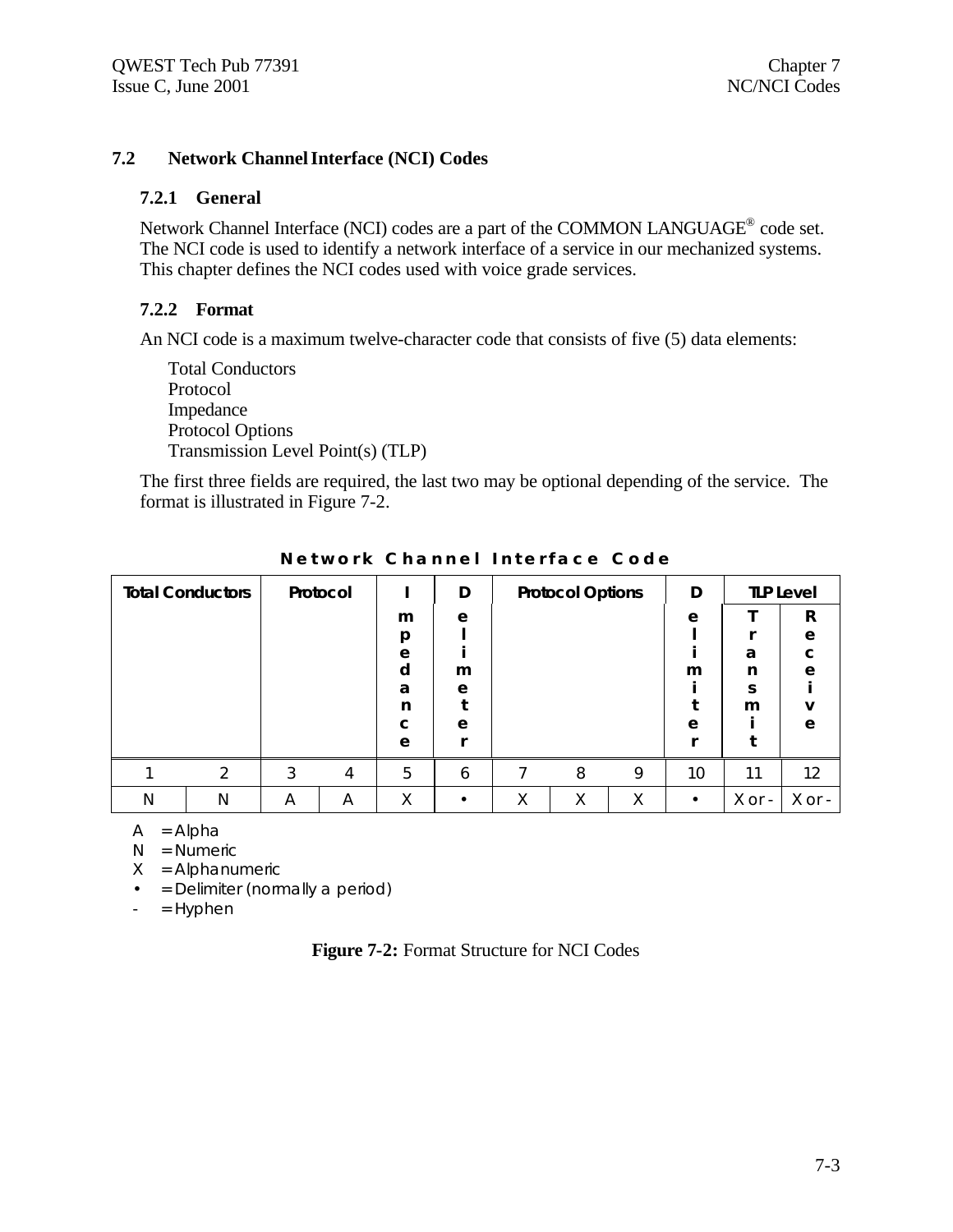## **7.2 Network Channel Interface (NCI) Codes**

### **7.2.1 General**

Network Channel Interface (NCI) codes are a part of the COMMON LANGUAGE<sup>®</sup> code set. The NCI code is used to identify a network interface of a service in our mechanized systems. This chapter defines the NCI codes used with voice grade services.

### **7.2.2 Format**

An NCI code is a maximum twelve-character code that consists of five (5) data elements:

Total Conductors Protocol Impedance Protocol Options Transmission Level Point(s) (TLP)

The first three fields are required, the last two may be optional depending of the service. The format is illustrated in Figure 7-2.

| <b>Total Conductors</b> |   |   | Protocol |   | D |   | <b>Protocol Options</b> |   | D  |        | <b>TLP Level</b> |
|-------------------------|---|---|----------|---|---|---|-------------------------|---|----|--------|------------------|
|                         |   |   |          | m | e |   |                         |   | e  |        | R                |
|                         |   |   |          | p |   |   |                         |   |    |        | e                |
|                         |   |   |          | e |   |   |                         |   |    | a      | $\mathbf{C}$     |
|                         |   |   |          | d | m |   |                         |   | m  | n      | e                |
|                         |   |   |          | a | e |   |                         |   |    | S      |                  |
|                         |   |   |          | n |   |   |                         |   |    | m      | v                |
|                         |   |   |          | c | e |   |                         |   | e  |        | e                |
|                         |   |   |          | e |   |   |                         |   |    |        |                  |
|                         | ↑ | 3 | 4        | 5 | 6 |   | 8                       | 9 | 10 | 11     | 12               |
| N                       | N | A | Α        | Χ |   | Χ | Χ                       | Χ |    | X or - | X or -           |

**Network Channel Interface Code**

 $A = Alpha$ 

 $N =$  Numeric

 $X =$  Alphanumeric

• = Delimiter (normally a period)

 $-$  = Hyphen

|  |  |  |  | Figure 7-2: Format Structure for NCI Codes |  |  |  |
|--|--|--|--|--------------------------------------------|--|--|--|
|--|--|--|--|--------------------------------------------|--|--|--|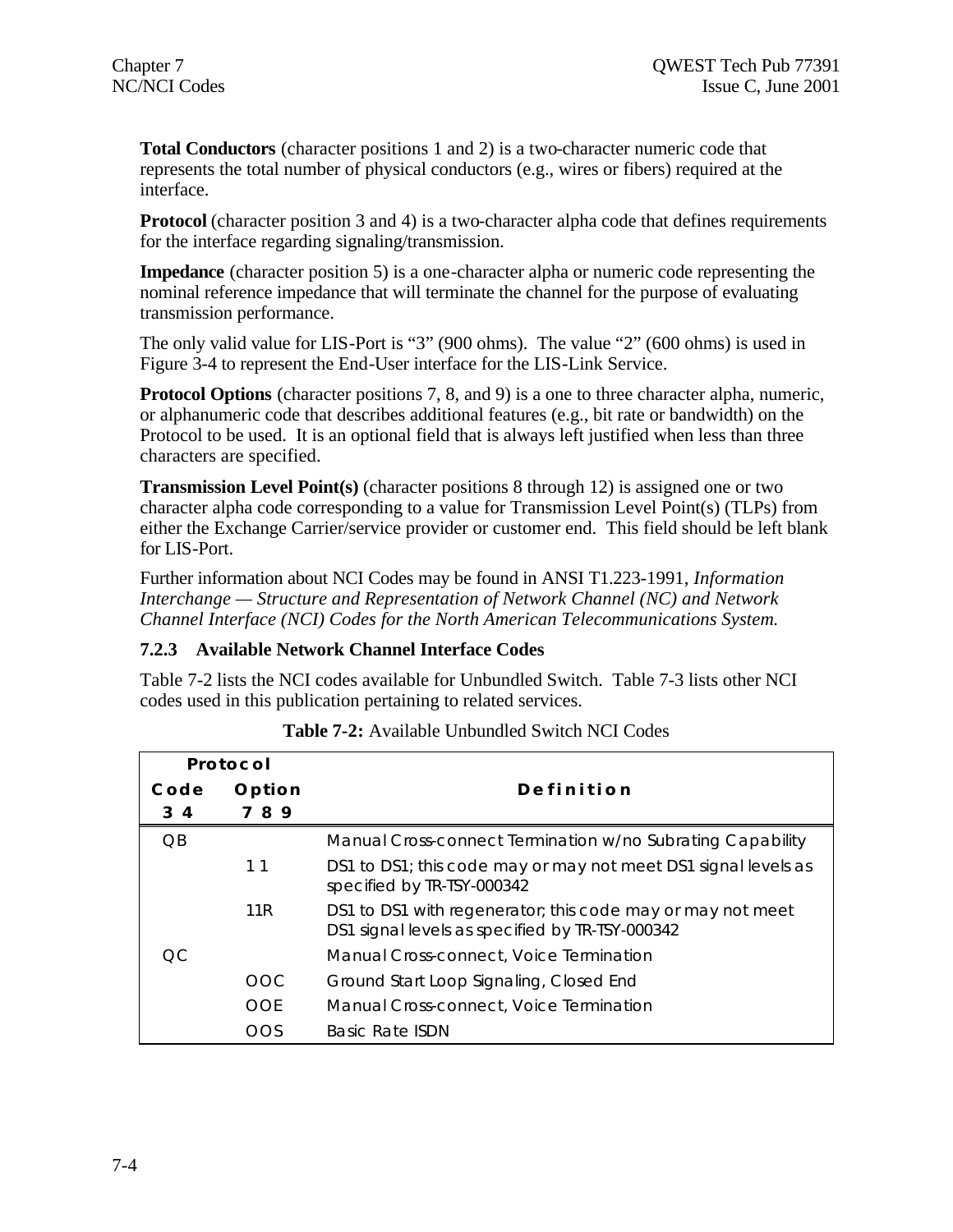**Total Conductors** (character positions 1 and 2) is a two-character numeric code that represents the total number of physical conductors (e.g., wires or fibers) required at the interface.

**Protocol** (character position 3 and 4) is a two-character alpha code that defines requirements for the interface regarding signaling/transmission.

**Impedance** (character position 5) is a one-character alpha or numeric code representing the nominal reference impedance that will terminate the channel for the purpose of evaluating transmission performance.

The only valid value for LIS-Port is "3" (900 ohms). The value "2" (600 ohms) is used in Figure 3-4 to represent the End-User interface for the LIS-Link Service.

**Protocol Options** (character positions 7, 8, and 9) is a one to three character alpha, numeric, or alphanumeric code that describes additional features (e.g., bit rate or bandwidth) on the Protocol to be used. It is an optional field that is always left justified when less than three characters are specified.

**Transmission Level Point(s)** (character positions 8 through 12) is assigned one or two character alpha code corresponding to a value for Transmission Level Point(s) (TLPs) from either the Exchange Carrier/service provider or customer end. This field should be left blank for LIS-Port.

Further information about NCI Codes may be found in ANSI T1.223-1991, *Information Interchange — Structure and Representation of Network Channel (NC) and Network Channel Interface (NCI) Codes for the North American Telecommunications System.*

## **7.2.3 Available Network Channel Interface Codes**

Table 7-2 lists the NCI codes available for Unbundled Switch. Table 7-3 lists other NCI codes used in this publication pertaining to related services.

| Protocol        |                 |                                                                                                               |
|-----------------|-----------------|---------------------------------------------------------------------------------------------------------------|
| Code            | Option          | Definition                                                                                                    |
| $3\quad 4$      | 89              |                                                                                                               |
| $\overline{OB}$ |                 | Manual Cross-connect Termination w/no Subrating Capability                                                    |
|                 | 11              | DS1 to DS1; this code may or may not meet DS1 signal levels as<br>specified by TR-TSY-000342                  |
|                 | 11 <sub>R</sub> | DS1 to DS1 with regenerator; this code may or may not meet<br>DS1 signal levels as specified by TR-TSY-000342 |
| OC.             |                 | Manual Cross-connect, Voice Termination                                                                       |
|                 | OOC             | Ground Start Loop Signaling, Closed End                                                                       |
|                 | OOF             | Manual Cross-connect. Voice Termination                                                                       |
|                 | OOS             | <b>Basic Rate ISDN</b>                                                                                        |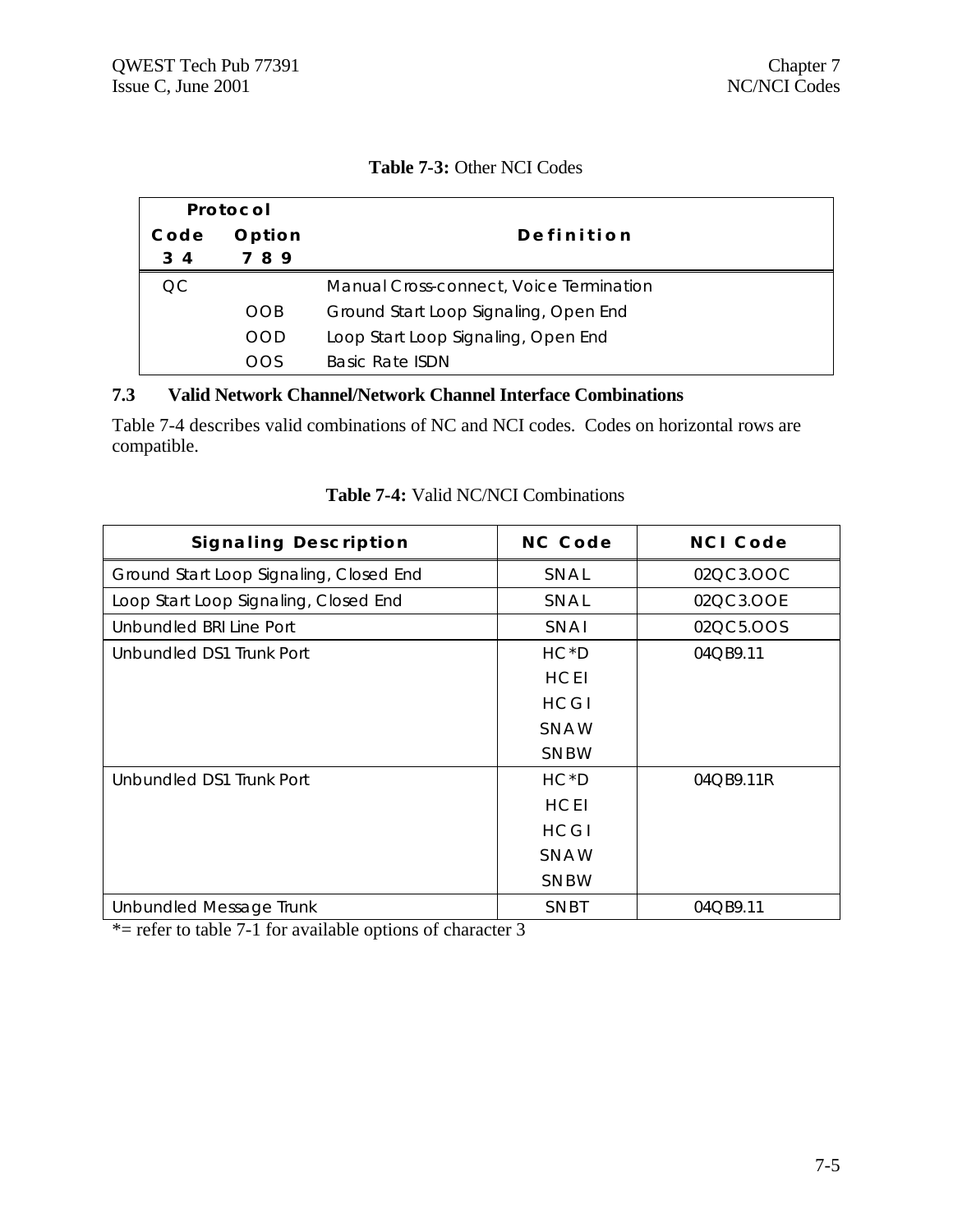| <b>Table 7-3: Other NCI Codes</b> |  |
|-----------------------------------|--|
|-----------------------------------|--|

| Protocol |            |                                         |
|----------|------------|-----------------------------------------|
| Code     | Option     | Definition                              |
| 34       | 789        |                                         |
| OC.      |            | Manual Cross-connect, Voice Termination |
|          | <b>OOB</b> | Ground Start Loop Signaling, Open End   |
|          | <b>OOD</b> | Loop Start Loop Signaling, Open End     |
|          | OOS        | Basic Rate ISDN                         |

## **7.3 Valid Network Channel/Network Channel Interface Combinations**

Table 7-4 describes valid combinations of NC and NCI codes. Codes on horizontal rows are compatible.

| <b>Signaling Description</b>            | NC Code     | NCI Code  |
|-----------------------------------------|-------------|-----------|
| Ground Start Loop Signaling, Closed End | SNAL        | 02QC3.OOC |
| Loop Start Loop Signaling, Closed End   | SNAL        | 02QC3.OOE |
| Unbundled BRI Line Port                 | SNAI        | 02QC5.OOS |
| Unbundled DS1 Trunk Port                | $HC*D$      | 04QB9.11  |
|                                         | <b>HCEI</b> |           |
|                                         | HCGI        |           |
|                                         | SNAW        |           |
|                                         | SNBW        |           |
| Unbundled DS1 Trunk Port                | $HC*D$      | 04QB9.11R |
|                                         | <b>HCEI</b> |           |
|                                         | HCGI        |           |
|                                         | SNAW        |           |
|                                         | SNBW        |           |
| Unbundled Message Trunk                 | SNBT        | 04QB9.11  |

## **Table 7-4:** Valid NC/NCI Combinations

 $*$  = refer to table 7-1 for available options of character 3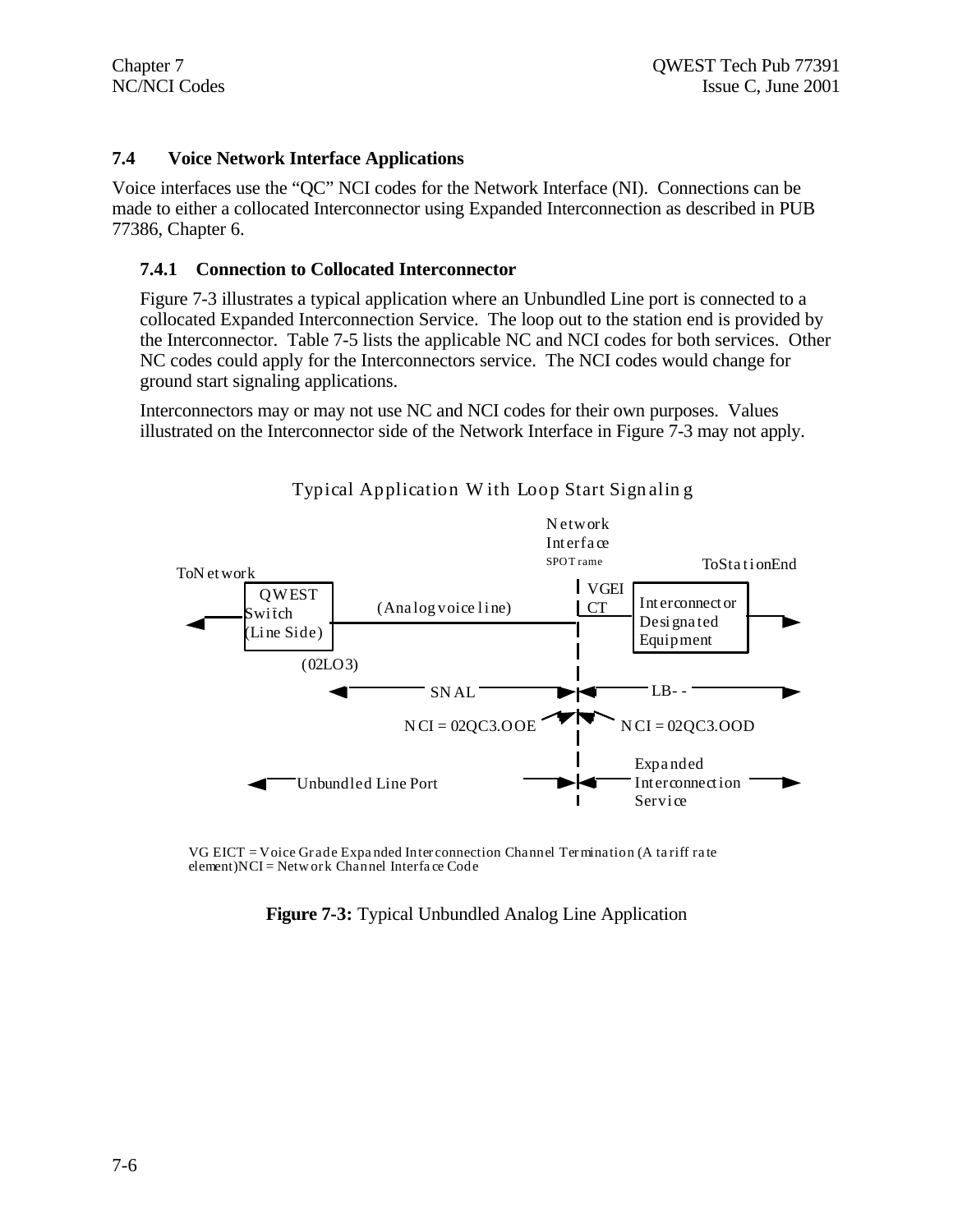## **7.4 Voice Network Interface Applications**

Voice interfaces use the "QC" NCI codes for the Network Interface (NI). Connections can be made to either a collocated Interconnector using Expanded Interconnection as described in PUB 77386, Chapter 6.

### **7.4.1 Connection to Collocated Interconnector**

Figure 7-3 illustrates a typical application where an Unbundled Line port is connected to a collocated Expanded Interconnection Service. The loop out to the station end is provided by the Interconnector. Table 7-5 lists the applicable NC and NCI codes for both services. Other NC codes could apply for the Interconnectors service. The NCI codes would change for ground start signaling applications.

Interconnectors may or may not use NC and NCI codes for their own purposes. Values illustrated on the Interconnector side of the Network Interface in Figure 7-3 may not apply.



Typical Application W ith Loop Start Sign alin g

VG EICT = Voice Gr ade Expa nded Inter connection Channel Termination (A ta riff ra te element)NCI = Netw or k Channel Interfa ce Code

**Figure 7-3:** Typical Unbundled Analog Line Application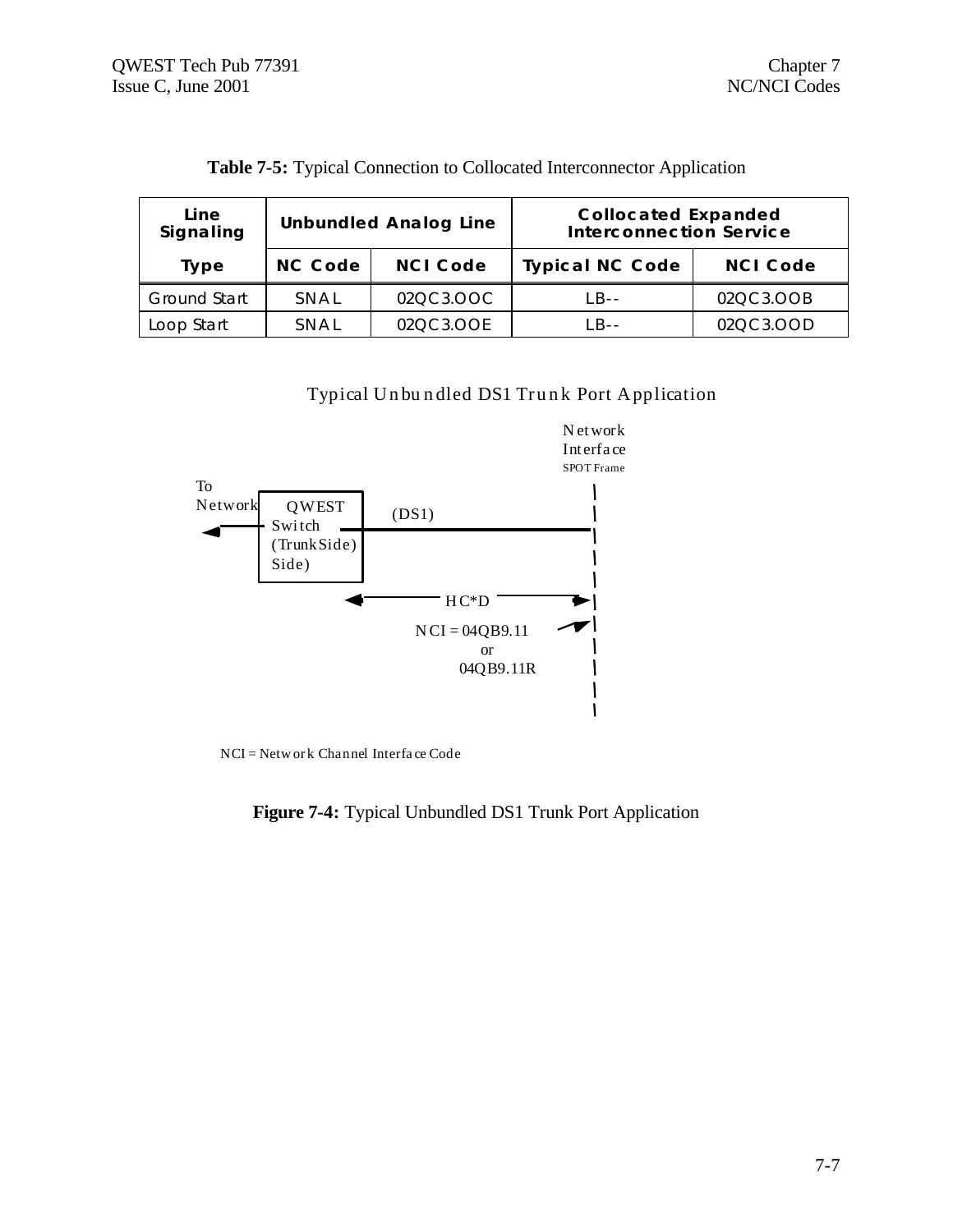| Line<br>Signaling | <b>Unbundled Analog Line</b> |                 | <b>Collocated Expanded</b><br><b>Interconnection Service</b> |                 |  |
|-------------------|------------------------------|-----------------|--------------------------------------------------------------|-----------------|--|
| Type              | NC Code                      | <b>NCI Code</b> | <b>Typical NC Code</b>                                       | <b>NCI Code</b> |  |
| Ground Start      | SNAL                         | 02QC3.OOC       | $IB - -$                                                     | 02QC3.OOB       |  |
| Loop Start        | SNAL                         | 02QC3.OOE       | $IR -$                                                       | 02QC3.OOD       |  |

**Table 7-5:** Typical Connection to Collocated Interconnector Application

Typical Unbundled DS1 Trunk Port Application



NCI = Network Channel Interface Code

**Figure 7-4:** Typical Unbundled DS1 Trunk Port Application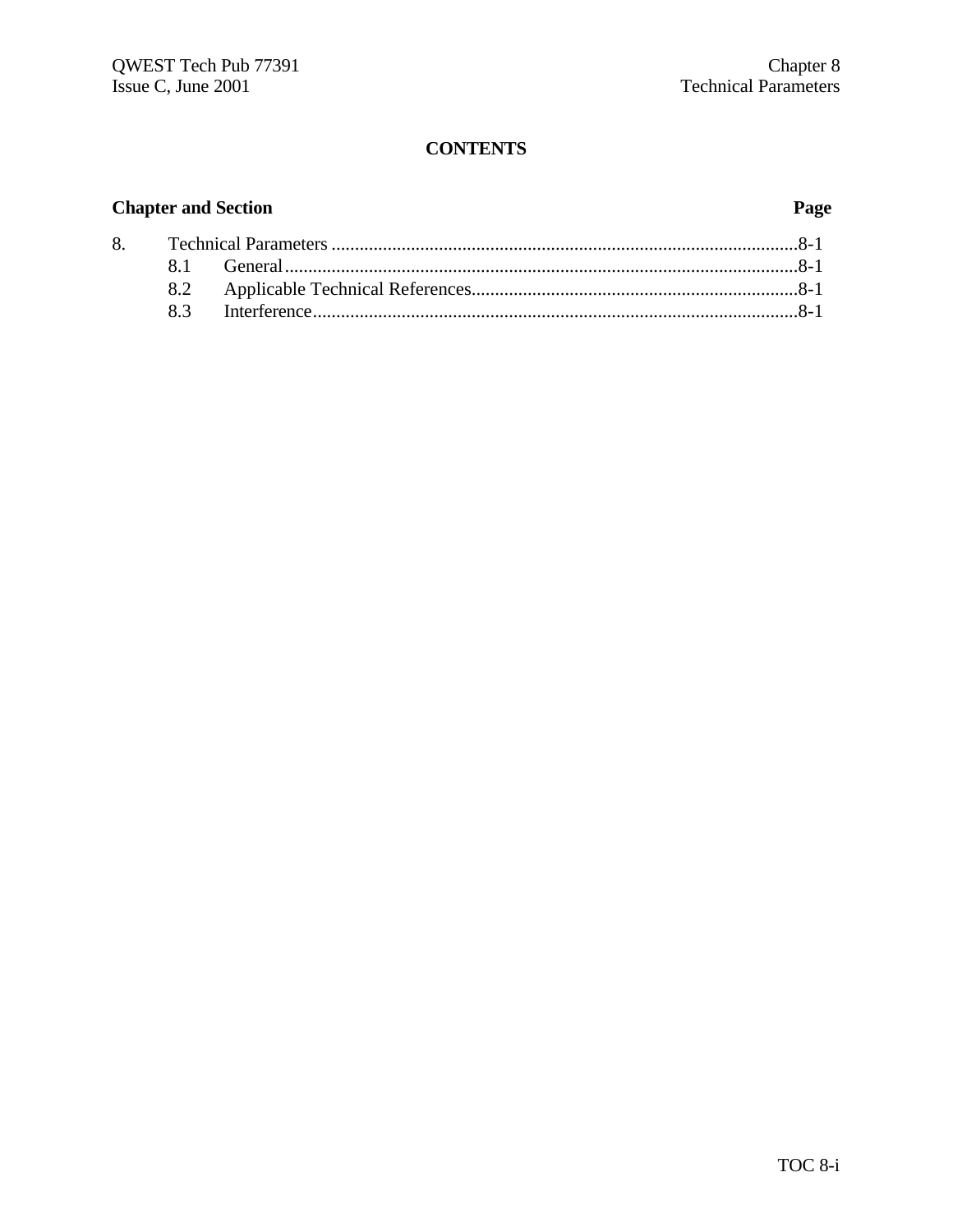## **Chapter and Section Page**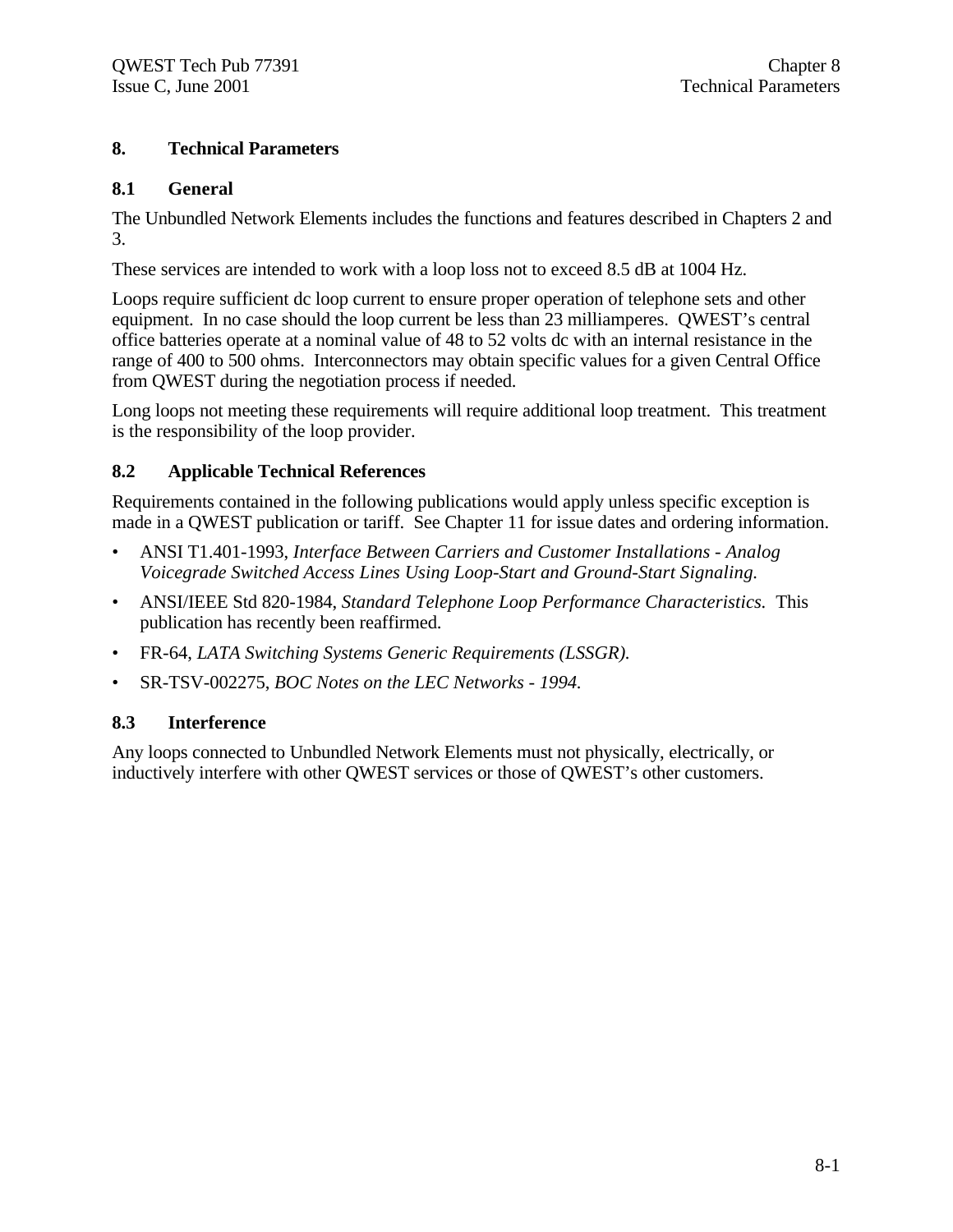## **8. Technical Parameters**

## **8.1 General**

The Unbundled Network Elements includes the functions and features described in Chapters 2 and 3.

These services are intended to work with a loop loss not to exceed 8.5 dB at 1004 Hz.

Loops require sufficient dc loop current to ensure proper operation of telephone sets and other equipment. In no case should the loop current be less than 23 milliamperes. QWEST's central office batteries operate at a nominal value of 48 to 52 volts dc with an internal resistance in the range of 400 to 500 ohms. Interconnectors may obtain specific values for a given Central Office from QWEST during the negotiation process if needed.

Long loops not meeting these requirements will require additional loop treatment. This treatment is the responsibility of the loop provider.

## **8.2 Applicable Technical References**

Requirements contained in the following publications would apply unless specific exception is made in a QWEST publication or tariff. See Chapter 11 for issue dates and ordering information.

- ANSI T1.401-1993, *Interface Between Carriers and Customer Installations Analog Voicegrade Switched Access Lines Using Loop-Start and Ground-Start Signaling.*
- ANSI/IEEE Std 820-1984, *Standard Telephone Loop Performance Characteristics.* This publication has recently been reaffirmed.
- FR-64, *LATA Switching Systems Generic Requirements (LSSGR).*
- SR-TSV-002275, *BOC Notes on the LEC Networks 1994.*

## **8.3 Interference**

Any loops connected to Unbundled Network Elements must not physically, electrically, or inductively interfere with other QWEST services or those of QWEST's other customers.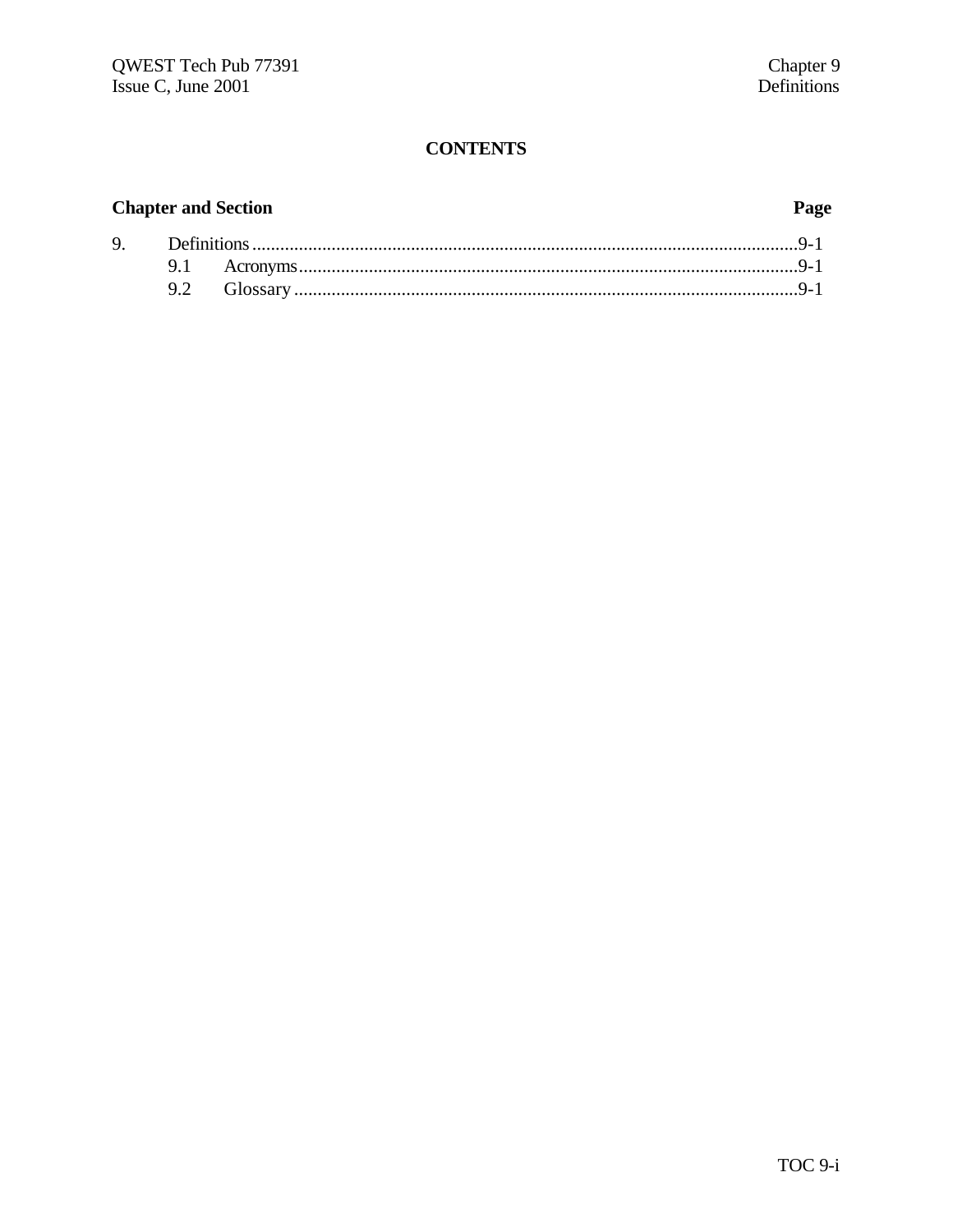## **Chapter and Section**

## Page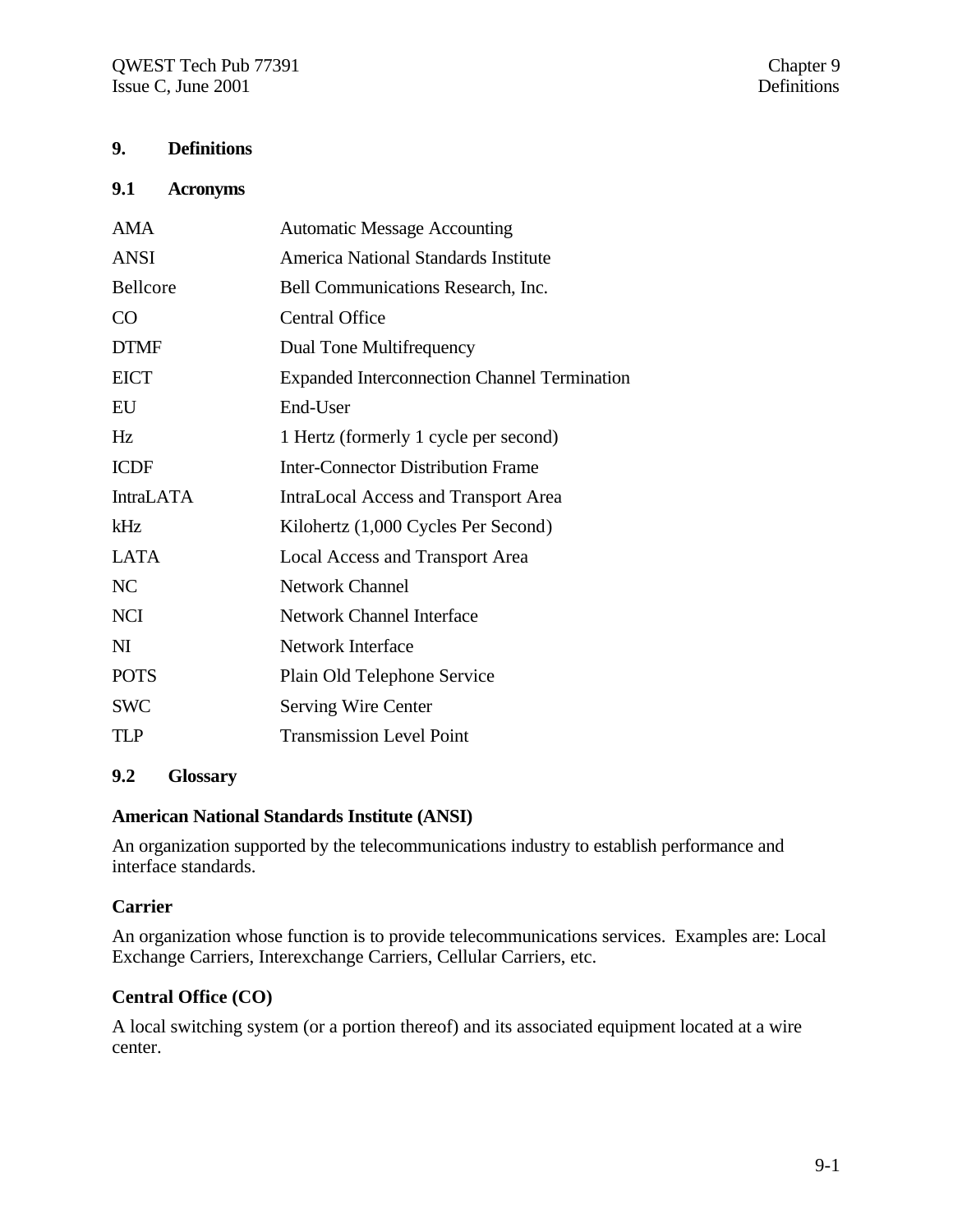## **9. Definitions**

#### **9.1 Acronyms**

| AMA              | <b>Automatic Message Accounting</b>                 |
|------------------|-----------------------------------------------------|
| ANSI             | America National Standards Institute                |
| Bellcore         | Bell Communications Research, Inc.                  |
| CO               | <b>Central Office</b>                               |
| <b>DTMF</b>      | Dual Tone Multifrequency                            |
| <b>EICT</b>      | <b>Expanded Interconnection Channel Termination</b> |
| EU               | End-User                                            |
| Hz               | 1 Hertz (formerly 1 cycle per second)               |
| <b>ICDF</b>      | <b>Inter-Connector Distribution Frame</b>           |
| <b>IntraLATA</b> | <b>IntraLocal Access and Transport Area</b>         |
| kHz              | Kilohertz (1,000 Cycles Per Second)                 |
| <b>LATA</b>      | Local Access and Transport Area                     |
| NC               | <b>Network Channel</b>                              |
| <b>NCI</b>       | <b>Network Channel Interface</b>                    |
| NI               | <b>Network Interface</b>                            |
| <b>POTS</b>      | Plain Old Telephone Service                         |
| <b>SWC</b>       | <b>Serving Wire Center</b>                          |
| <b>TLP</b>       | <b>Transmission Level Point</b>                     |
|                  |                                                     |

## **9.2 Glossary**

## **American National Standards Institute (ANSI)**

An organization supported by the telecommunications industry to establish performance and interface standards.

### **Carrier**

An organization whose function is to provide telecommunications services. Examples are: Local Exchange Carriers, Interexchange Carriers, Cellular Carriers, etc.

### **Central Office (CO)**

A local switching system (or a portion thereof) and its associated equipment located at a wire center.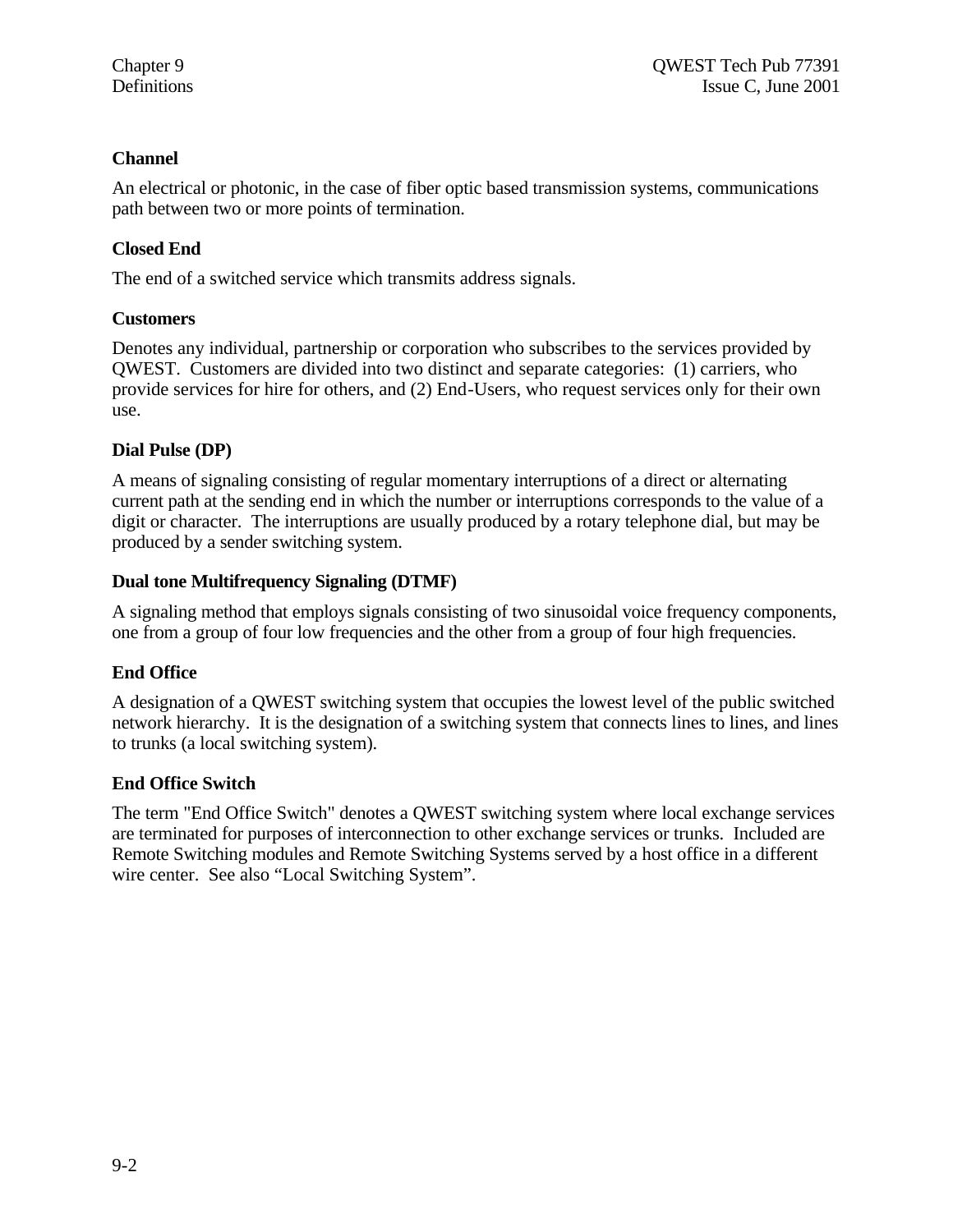## **Channel**

An electrical or photonic, in the case of fiber optic based transmission systems, communications path between two or more points of termination.

## **Closed End**

The end of a switched service which transmits address signals.

## **Customers**

Denotes any individual, partnership or corporation who subscribes to the services provided by QWEST. Customers are divided into two distinct and separate categories: (1) carriers, who provide services for hire for others, and (2) End-Users, who request services only for their own use.

## **Dial Pulse (DP)**

A means of signaling consisting of regular momentary interruptions of a direct or alternating current path at the sending end in which the number or interruptions corresponds to the value of a digit or character. The interruptions are usually produced by a rotary telephone dial, but may be produced by a sender switching system.

## **Dual tone Multifrequency Signaling (DTMF)**

A signaling method that employs signals consisting of two sinusoidal voice frequency components, one from a group of four low frequencies and the other from a group of four high frequencies.

## **End Office**

A designation of a QWEST switching system that occupies the lowest level of the public switched network hierarchy. It is the designation of a switching system that connects lines to lines, and lines to trunks (a local switching system).

## **End Office Switch**

The term "End Office Switch" denotes a QWEST switching system where local exchange services are terminated for purposes of interconnection to other exchange services or trunks. Included are Remote Switching modules and Remote Switching Systems served by a host office in a different wire center. See also "Local Switching System".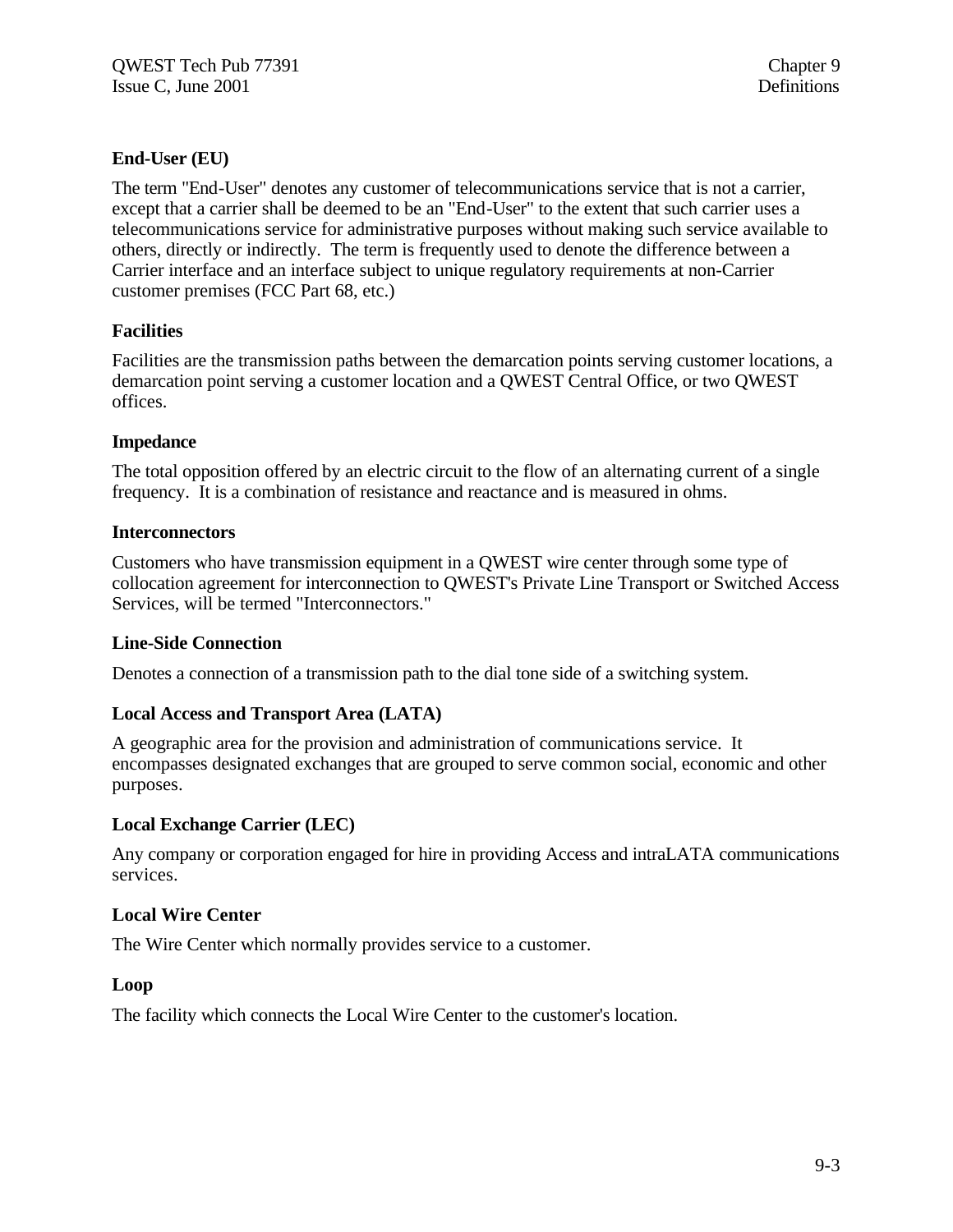## **End-User (EU)**

The term "End-User" denotes any customer of telecommunications service that is not a carrier, except that a carrier shall be deemed to be an "End-User" to the extent that such carrier uses a telecommunications service for administrative purposes without making such service available to others, directly or indirectly. The term is frequently used to denote the difference between a Carrier interface and an interface subject to unique regulatory requirements at non-Carrier customer premises (FCC Part 68, etc.)

## **Facilities**

Facilities are the transmission paths between the demarcation points serving customer locations, a demarcation point serving a customer location and a QWEST Central Office, or two QWEST offices.

## **Impedance**

The total opposition offered by an electric circuit to the flow of an alternating current of a single frequency. It is a combination of resistance and reactance and is measured in ohms.

## **Interconnectors**

Customers who have transmission equipment in a QWEST wire center through some type of collocation agreement for interconnection to QWEST's Private Line Transport or Switched Access Services, will be termed "Interconnectors."

## **Line-Side Connection**

Denotes a connection of a transmission path to the dial tone side of a switching system.

## **Local Access and Transport Area (LATA)**

A geographic area for the provision and administration of communications service. It encompasses designated exchanges that are grouped to serve common social, economic and other purposes.

## **Local Exchange Carrier (LEC)**

Any company or corporation engaged for hire in providing Access and intraLATA communications services.

## **Local Wire Center**

The Wire Center which normally provides service to a customer.

## **Loop**

The facility which connects the Local Wire Center to the customer's location.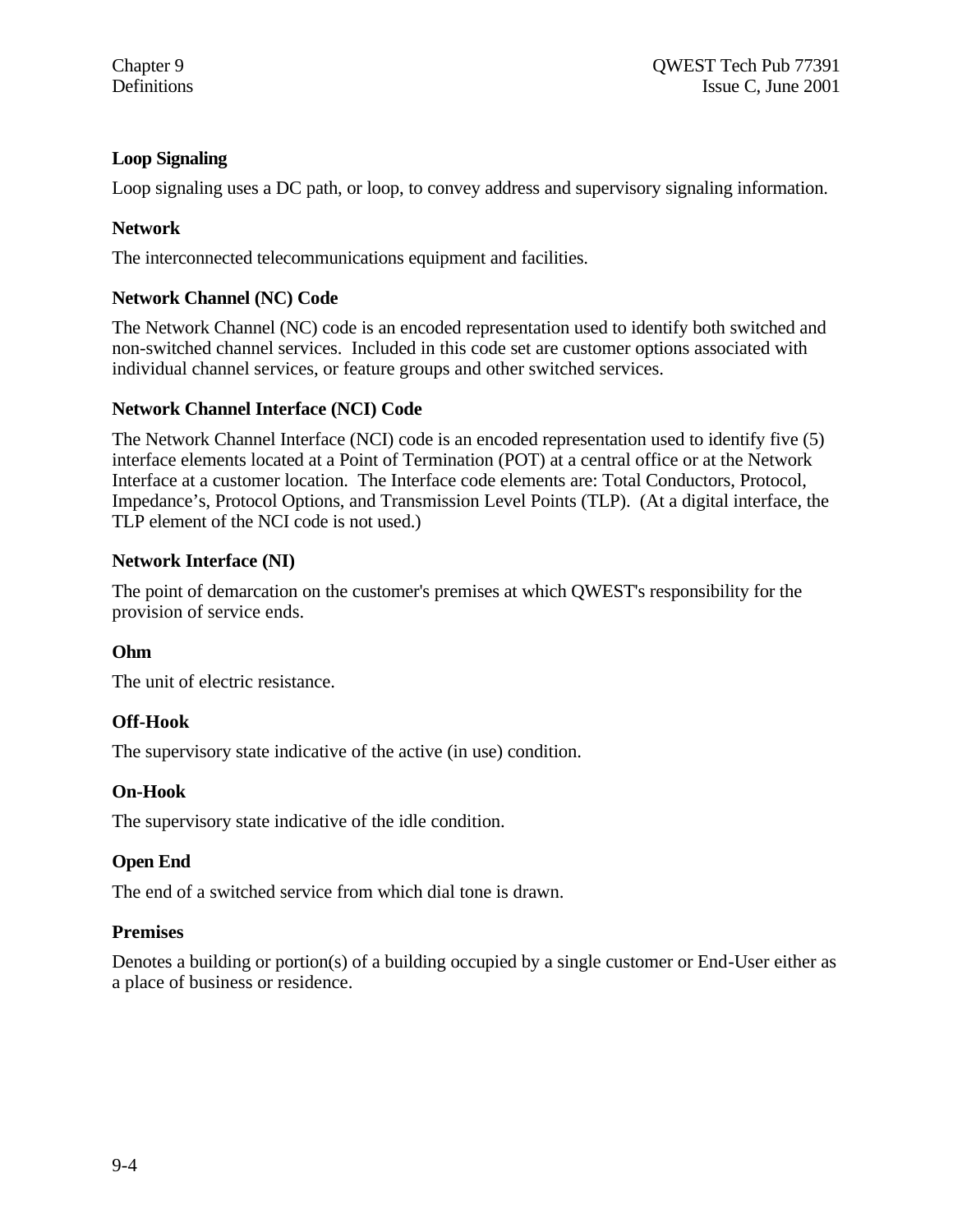## **Loop Signaling**

Loop signaling uses a DC path, or loop, to convey address and supervisory signaling information.

## **Network**

The interconnected telecommunications equipment and facilities.

## **Network Channel (NC) Code**

The Network Channel (NC) code is an encoded representation used to identify both switched and non-switched channel services. Included in this code set are customer options associated with individual channel services, or feature groups and other switched services.

## **Network Channel Interface (NCI) Code**

The Network Channel Interface (NCI) code is an encoded representation used to identify five (5) interface elements located at a Point of Termination (POT) at a central office or at the Network Interface at a customer location. The Interface code elements are: Total Conductors, Protocol, Impedance's, Protocol Options, and Transmission Level Points (TLP). (At a digital interface, the TLP element of the NCI code is not used.)

## **Network Interface (NI)**

The point of demarcation on the customer's premises at which QWEST's responsibility for the provision of service ends.

## **Ohm**

The unit of electric resistance.

## **Off-Hook**

The supervisory state indicative of the active (in use) condition.

## **On-Hook**

The supervisory state indicative of the idle condition.

## **Open End**

The end of a switched service from which dial tone is drawn.

### **Premises**

Denotes a building or portion(s) of a building occupied by a single customer or End-User either as a place of business or residence.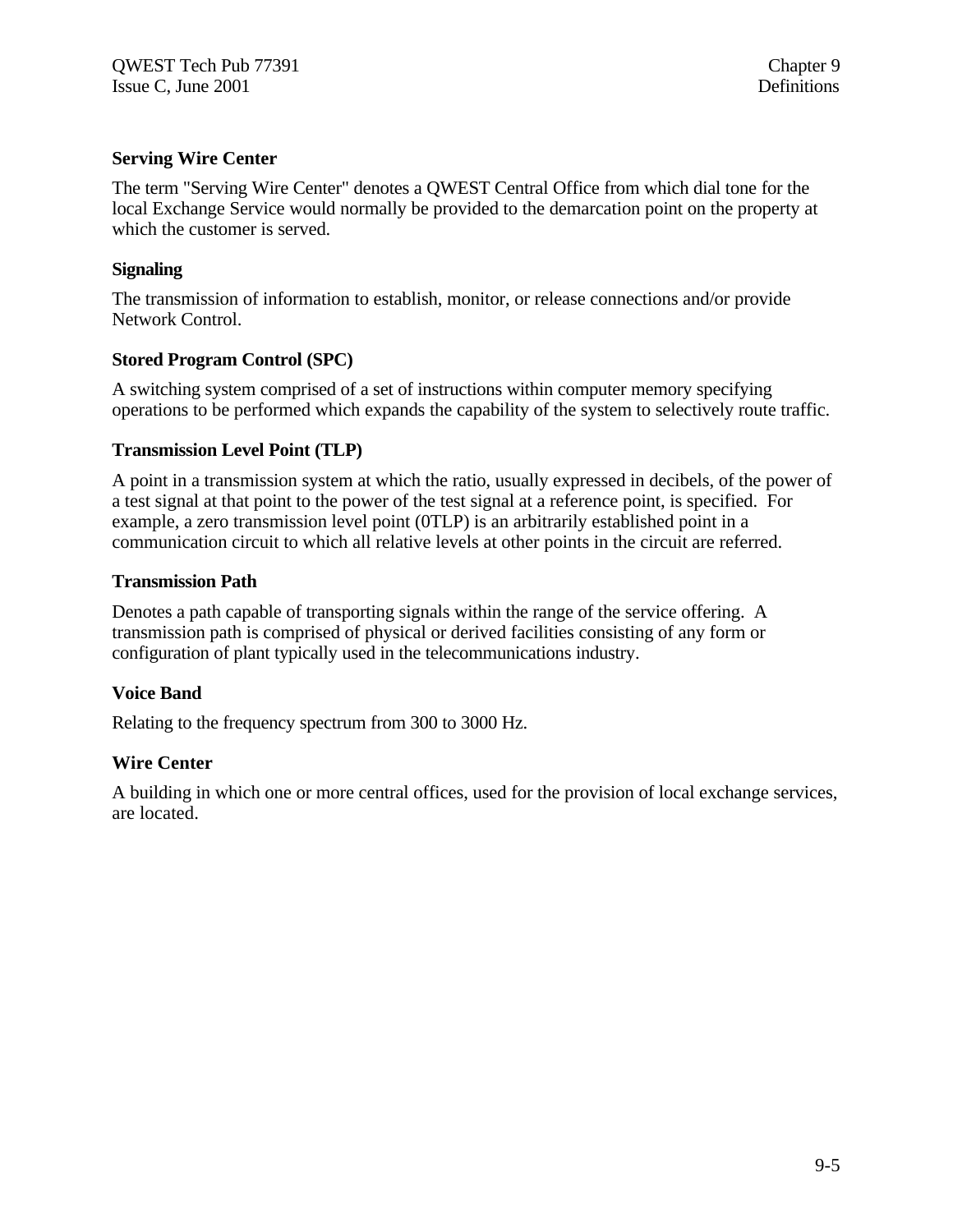## **Serving Wire Center**

The term "Serving Wire Center" denotes a QWEST Central Office from which dial tone for the local Exchange Service would normally be provided to the demarcation point on the property at which the customer is served.

## **Signaling**

The transmission of information to establish, monitor, or release connections and/or provide Network Control.

## **Stored Program Control (SPC)**

A switching system comprised of a set of instructions within computer memory specifying operations to be performed which expands the capability of the system to selectively route traffic.

### **Transmission Level Point (TLP)**

A point in a transmission system at which the ratio, usually expressed in decibels, of the power of a test signal at that point to the power of the test signal at a reference point, is specified. For example, a zero transmission level point (0TLP) is an arbitrarily established point in a communication circuit to which all relative levels at other points in the circuit are referred.

### **Transmission Path**

Denotes a path capable of transporting signals within the range of the service offering. A transmission path is comprised of physical or derived facilities consisting of any form or configuration of plant typically used in the telecommunications industry.

## **Voice Band**

Relating to the frequency spectrum from 300 to 3000 Hz.

### **Wire Center**

A building in which one or more central offices, used for the provision of local exchange services, are located.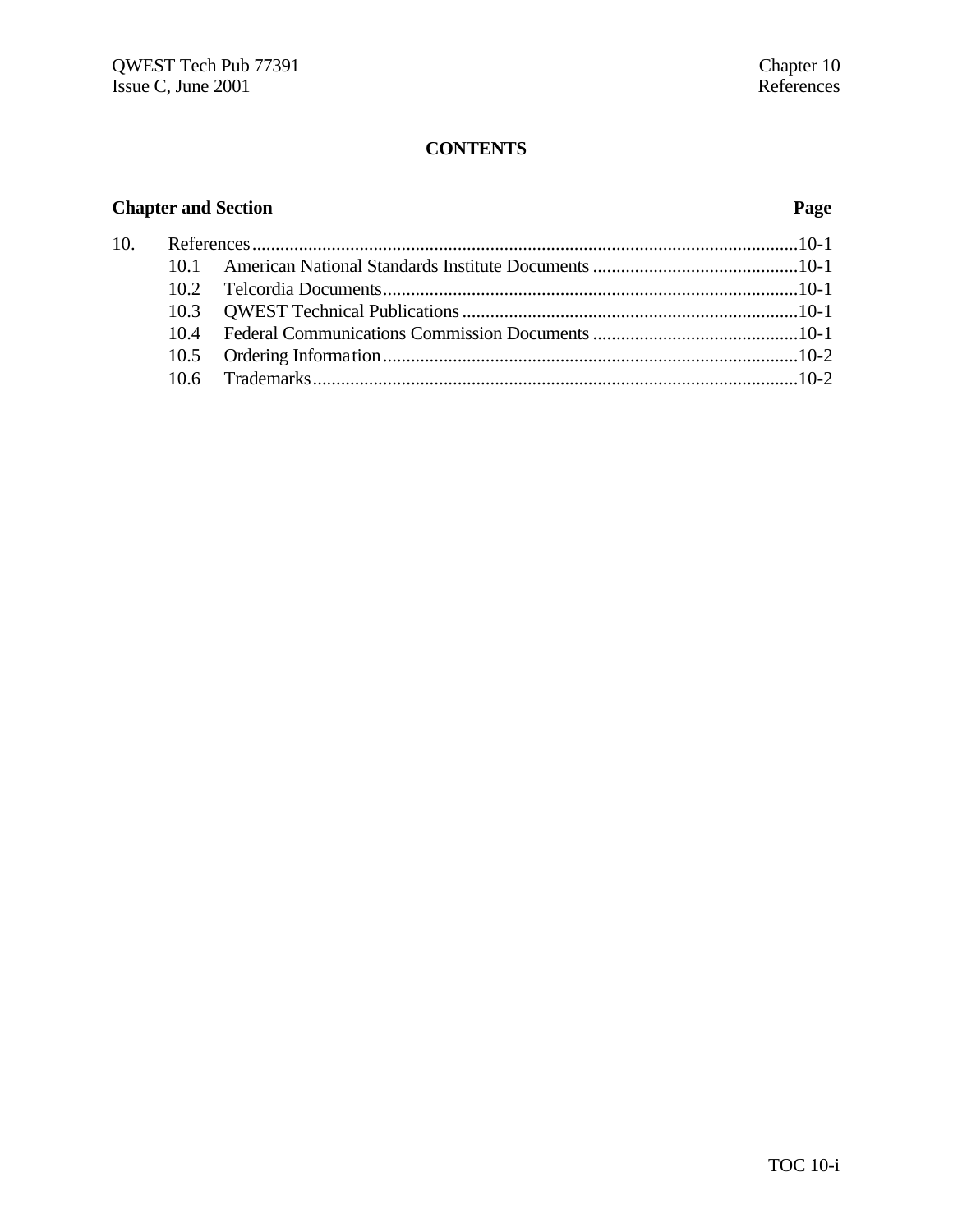## **Chapter and Section Page**

| 10. |  |  |  |
|-----|--|--|--|
|     |  |  |  |
|     |  |  |  |
|     |  |  |  |
|     |  |  |  |
|     |  |  |  |
|     |  |  |  |
|     |  |  |  |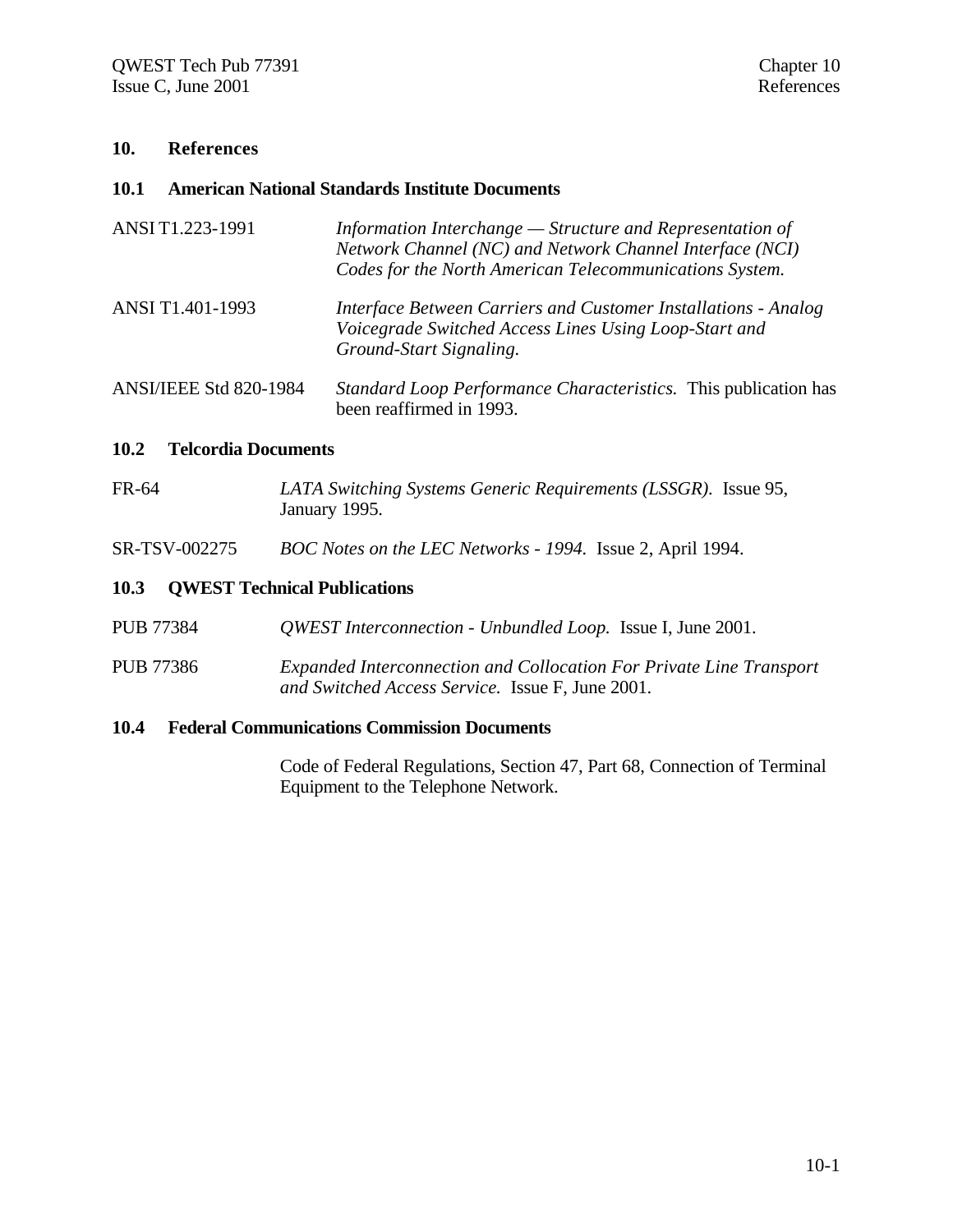#### **10. References**

#### **10.1 American National Standards Institute Documents**

| ANSI T1.223-1991              | Information Interchange $-$ Structure and Representation of<br>Network Channel (NC) and Network Channel Interface (NCI)<br>Codes for the North American Telecommunications System. |
|-------------------------------|------------------------------------------------------------------------------------------------------------------------------------------------------------------------------------|
| ANSI T1.401-1993              | Interface Between Carriers and Customer Installations - Analog<br>Voicegrade Switched Access Lines Using Loop-Start and<br>Ground-Start Signaling.                                 |
| <b>ANSI/IEEE Std 820-1984</b> | Standard Loop Performance Characteristics. This publication has<br>been reaffirmed in 1993.                                                                                        |

#### **10.2 Telcordia Documents**

- FR-64 *LATA Switching Systems Generic Requirements (LSSGR).* Issue 95, January 1995.
- SR-TSV-002275 *BOC Notes on the LEC Networks 1994.* Issue 2, April 1994.

### **10.3 QWEST Technical Publications**

- PUB 77384 *QWEST Interconnection Unbundled Loop.* Issue I, June 2001.
- PUB 77386 *Expanded Interconnection and Collocation For Private Line Transport and Switched Access Service.* Issue F, June 2001.

## **10.4 Federal Communications Commission Documents**

Code of Federal Regulations, Section 47, Part 68, Connection of Terminal Equipment to the Telephone Network.